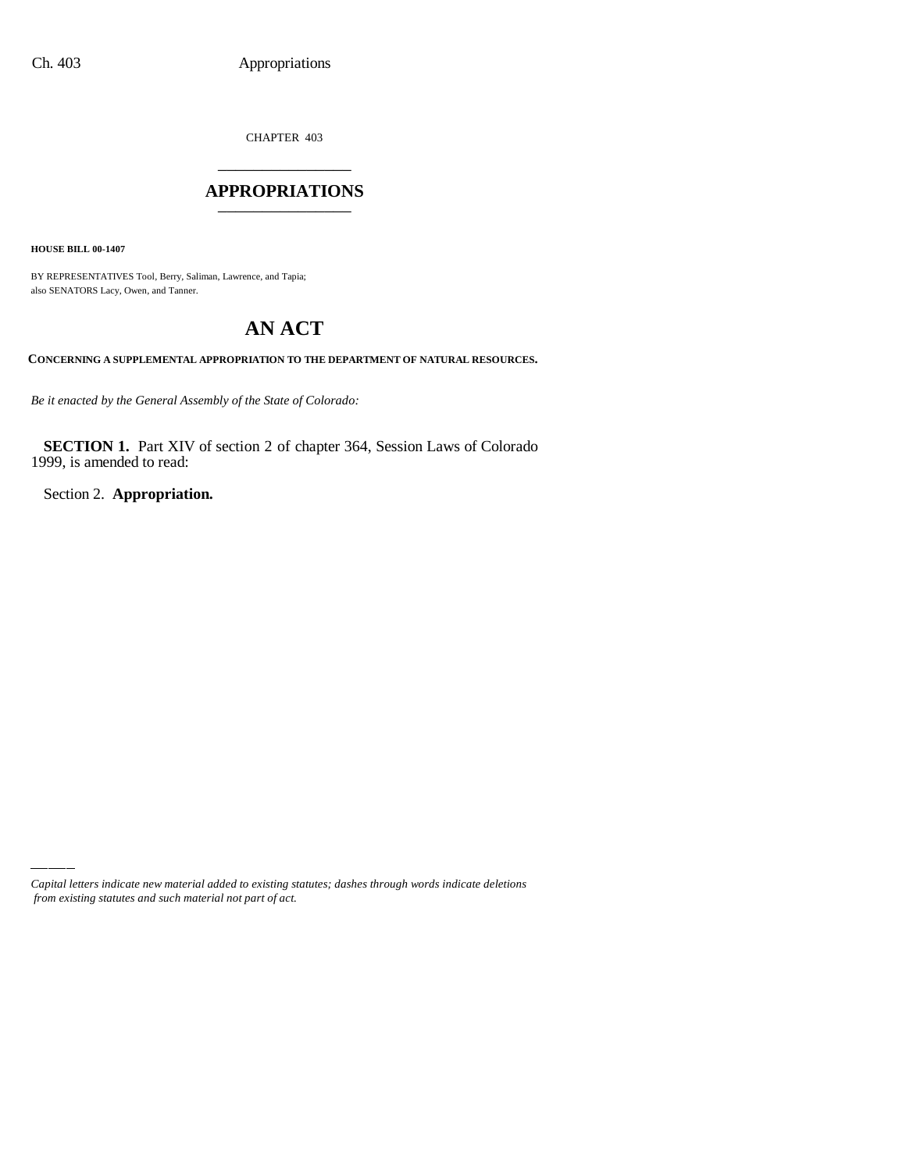CHAPTER 403 \_\_\_\_\_\_\_\_\_\_\_\_\_\_\_

## **APPROPRIATIONS** \_\_\_\_\_\_\_\_\_\_\_\_\_\_\_

**HOUSE BILL 00-1407**

BY REPRESENTATIVES Tool, Berry, Saliman, Lawrence, and Tapia; also SENATORS Lacy, Owen, and Tanner.

# **AN ACT**

**CONCERNING A SUPPLEMENTAL APPROPRIATION TO THE DEPARTMENT OF NATURAL RESOURCES.**

*Be it enacted by the General Assembly of the State of Colorado:*

**SECTION 1.** Part XIV of section 2 of chapter 364, Session Laws of Colorado 1999, is amended to read:

Section 2. **Appropriation.**

*Capital letters indicate new material added to existing statutes; dashes through words indicate deletions from existing statutes and such material not part of act.*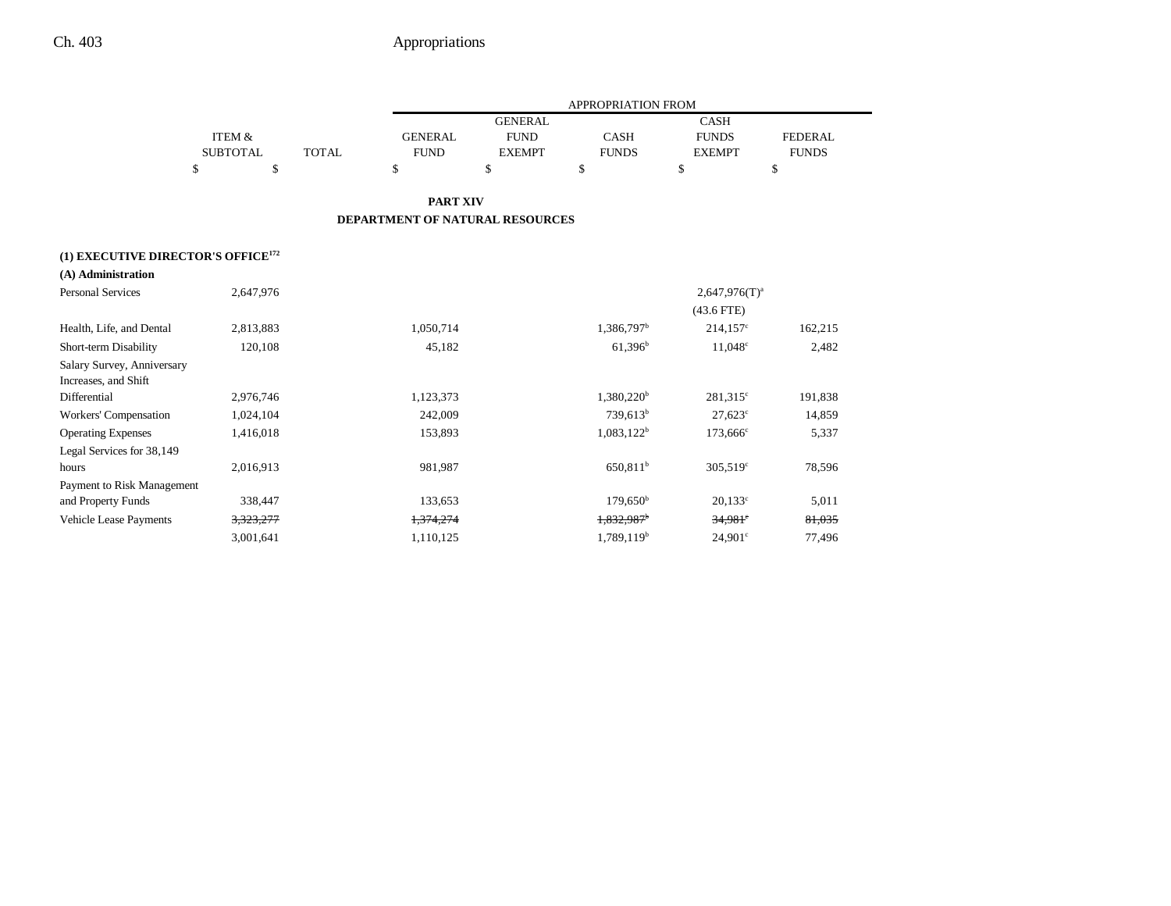|                                                |                   |              |                                        |                | APPROPRIATION FROM     |                       |                |  |
|------------------------------------------------|-------------------|--------------|----------------------------------------|----------------|------------------------|-----------------------|----------------|--|
|                                                |                   |              |                                        | <b>GENERAL</b> |                        | <b>CASH</b>           |                |  |
|                                                | <b>ITEM &amp;</b> |              | <b>GENERAL</b>                         | <b>FUND</b>    | <b>CASH</b>            | <b>FUNDS</b>          | <b>FEDERAL</b> |  |
|                                                | <b>SUBTOTAL</b>   | <b>TOTAL</b> | <b>FUND</b><br><b>EXEMPT</b>           |                | <b>FUNDS</b>           | <b>EXEMPT</b>         | <b>FUNDS</b>   |  |
|                                                | \$<br>\$          |              | \$                                     | \$             | \$                     | \$                    | \$             |  |
|                                                |                   |              | <b>PART XIV</b>                        |                |                        |                       |                |  |
|                                                |                   |              | <b>DEPARTMENT OF NATURAL RESOURCES</b> |                |                        |                       |                |  |
| (1) EXECUTIVE DIRECTOR'S OFFICE <sup>172</sup> |                   |              |                                        |                |                        |                       |                |  |
| (A) Administration                             |                   |              |                                        |                |                        |                       |                |  |
| Personal Services                              | 2,647,976         |              |                                        |                |                        | $2,647,976(T)^a$      |                |  |
|                                                |                   |              |                                        |                |                        | $(43.6$ FTE)          |                |  |
| Health, Life, and Dental                       | 2,813,883         |              | 1,050,714                              |                | 1,386,797 <sup>b</sup> | $214,157^{\circ}$     | 162,215        |  |
| Short-term Disability                          | 120,108           |              | 45,182                                 |                | $61,396^b$             | $11,048^{\circ}$      | 2,482          |  |
| Salary Survey, Anniversary                     |                   |              |                                        |                |                        |                       |                |  |
| Increases, and Shift                           |                   |              |                                        |                |                        |                       |                |  |
| Differential                                   | 2,976,746         |              | 1,123,373                              |                | $1,380,220^b$          | $281,315^c$           | 191,838        |  |
| <b>Workers' Compensation</b>                   | 1,024,104         |              | 242,009                                |                | 739,613 <sup>b</sup>   | $27,623^{\circ}$      | 14,859         |  |
| <b>Operating Expenses</b>                      | 1,416,018         |              | 153,893                                |                | $1,083,122^b$          | 173,666 <sup>c</sup>  | 5,337          |  |
| Legal Services for 38,149                      |                   |              |                                        |                |                        |                       |                |  |
| hours                                          | 2,016,913         |              | 981,987                                |                | $650,811$ <sup>b</sup> | 305,519°              | 78,596         |  |
| Payment to Risk Management                     |                   |              |                                        |                |                        |                       |                |  |
| and Property Funds                             | 338,447           |              | 133,653                                |                | $179,650^{\circ}$      | $20,133^c$            | 5,011          |  |
| Vehicle Lease Payments                         | 3,323,277         |              | 1,374,274                              |                | 1,832,987 <sup>b</sup> | $34.981$ <sup>e</sup> | 81,035         |  |
|                                                | 3,001,641         |              | 1,110,125                              |                | 1,789,119 <sup>b</sup> | $24,901^{\circ}$      | 77,496         |  |
|                                                |                   |              |                                        |                |                        |                       |                |  |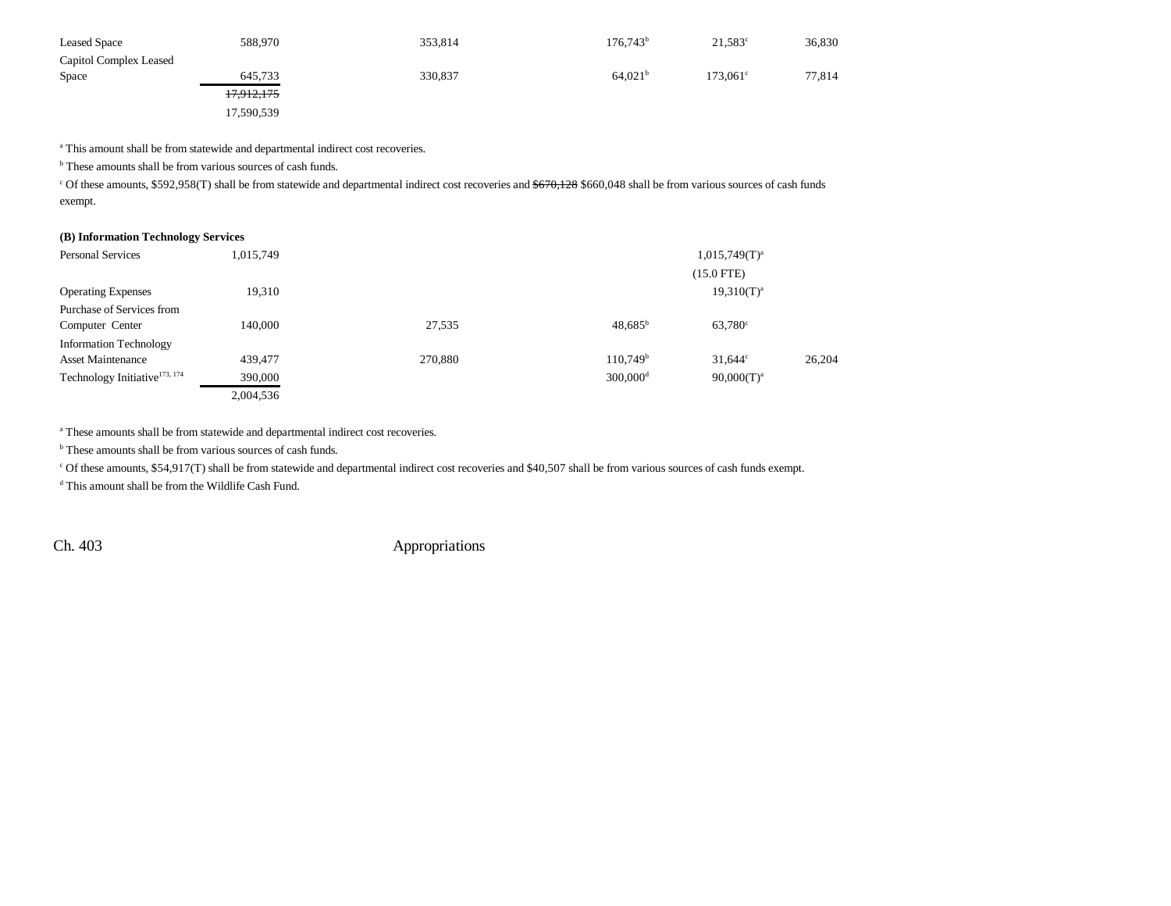| <b>Leased Space</b>    | 588,970               | 353,814 | 176.743 <sup>b</sup> | $21,583^{\circ}$  | 36,830 |
|------------------------|-----------------------|---------|----------------------|-------------------|--------|
| Capitol Complex Leased |                       |         |                      |                   |        |
| Space                  | 645,733               | 330,837 | 64.021 <sup>b</sup>  | $173.061^{\circ}$ | 77,814 |
|                        | <del>17,912,175</del> |         |                      |                   |        |
|                        | 17,590,539            |         |                      |                   |        |

<sup>a</sup> This amount shall be from statewide and departmental indirect cost recoveries.

b These amounts shall be from various sources of cash funds.

<sup>c</sup> Of these amounts, \$592,958(T) shall be from statewide and departmental indirect cost recoveries and  $$670,128$  \$660,048 shall be from various sources of cash funds exempt.

### **(B) Information Technology Services**

| Personal Services                         | 1,015,749 |         |                        | $1,015,749(T)^a$ |        |
|-------------------------------------------|-----------|---------|------------------------|------------------|--------|
|                                           |           |         |                        | $(15.0$ FTE)     |        |
| <b>Operating Expenses</b>                 | 19,310    |         |                        | $19,310(T)^{a}$  |        |
| Purchase of Services from                 |           |         |                        |                  |        |
| Computer Center                           | 140,000   | 27,535  | $48,685^{\rm b}$       | $63,780^{\circ}$ |        |
| <b>Information Technology</b>             |           |         |                        |                  |        |
| <b>Asset Maintenance</b>                  | 439,477   | 270,880 | 110.749 <sup>b</sup>   | $31.644^{\circ}$ | 26,204 |
| Technology Initiative <sup>173, 174</sup> | 390,000   |         | $300,000$ <sup>d</sup> | $90,000(T)^a$    |        |
|                                           | 2,004,536 |         |                        |                  |        |

<sup>a</sup> These amounts shall be from statewide and departmental indirect cost recoveries.

<sup>b</sup> These amounts shall be from various sources of cash funds.

c Of these amounts, \$54,917(T) shall be from statewide and departmental indirect cost recoveries and \$40,507 shall be from various sources of cash funds exempt.

d This amount shall be from the Wildlife Cash Fund.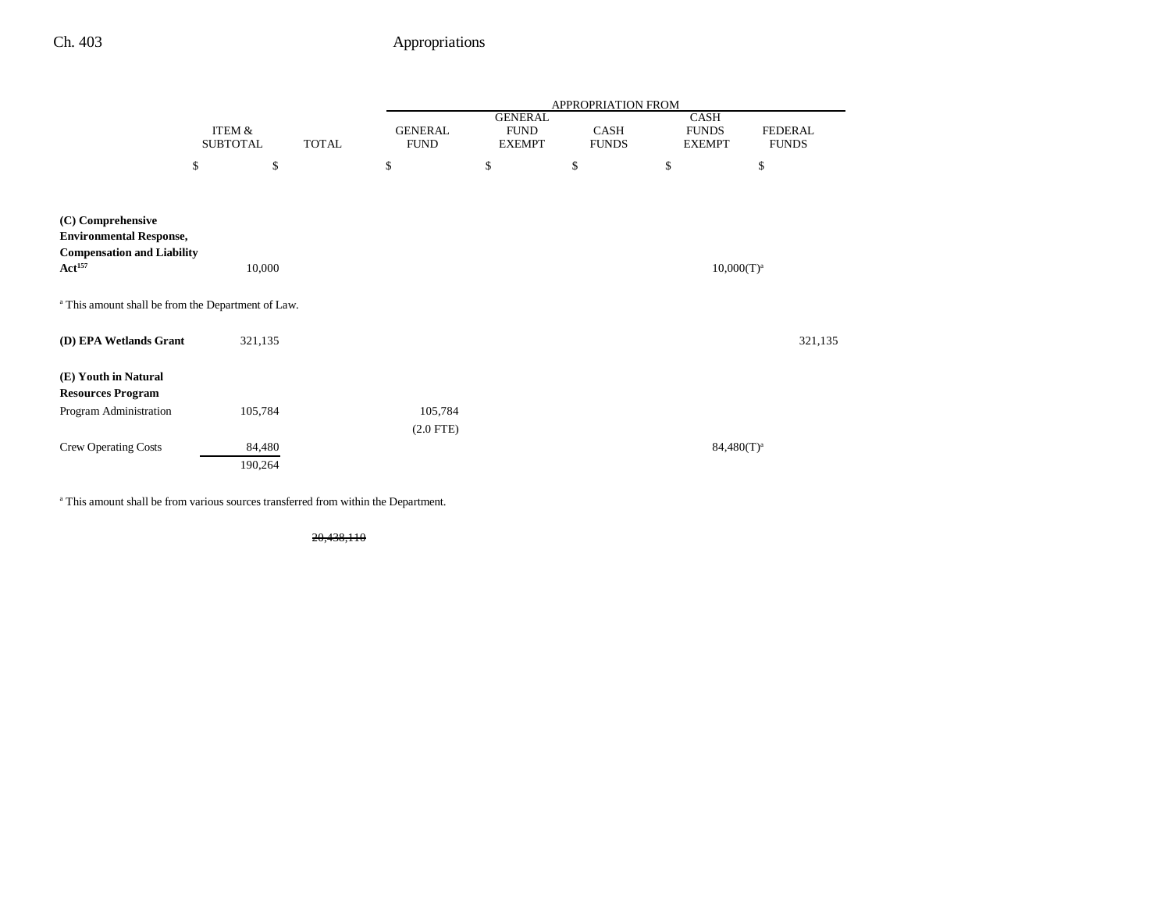|                                                                                          |                           |              |                               |                                                | APPROPRIATION FROM   |                                              |                                |
|------------------------------------------------------------------------------------------|---------------------------|--------------|-------------------------------|------------------------------------------------|----------------------|----------------------------------------------|--------------------------------|
|                                                                                          | ITEM &<br><b>SUBTOTAL</b> | <b>TOTAL</b> | <b>GENERAL</b><br><b>FUND</b> | <b>GENERAL</b><br><b>FUND</b><br><b>EXEMPT</b> | CASH<br><b>FUNDS</b> | <b>CASH</b><br><b>FUNDS</b><br><b>EXEMPT</b> | <b>FEDERAL</b><br><b>FUNDS</b> |
|                                                                                          | \$<br>\$                  |              | \$                            | \$                                             | \$                   | \$                                           | \$                             |
|                                                                                          |                           |              |                               |                                                |                      |                                              |                                |
| (C) Comprehensive<br><b>Environmental Response,</b><br><b>Compensation and Liability</b> |                           |              |                               |                                                |                      |                                              |                                |
| $Act^{157}$                                                                              | 10,000                    |              |                               |                                                |                      | $10,000(T)^a$                                |                                |
| <sup>a</sup> This amount shall be from the Department of Law.                            |                           |              |                               |                                                |                      |                                              |                                |
| (D) EPA Wetlands Grant                                                                   | 321,135                   |              |                               |                                                |                      |                                              | 321,135                        |
| (E) Youth in Natural<br><b>Resources Program</b>                                         |                           |              |                               |                                                |                      |                                              |                                |
| Program Administration                                                                   | 105,784                   |              | 105,784                       |                                                |                      |                                              |                                |
|                                                                                          |                           |              | $(2.0$ FTE)                   |                                                |                      |                                              |                                |
| <b>Crew Operating Costs</b>                                                              | 84,480<br>190,264         |              |                               |                                                |                      | $84,480(T)^a$                                |                                |

<sup>a</sup> This amount shall be from various sources transferred from within the Department.

20,438,110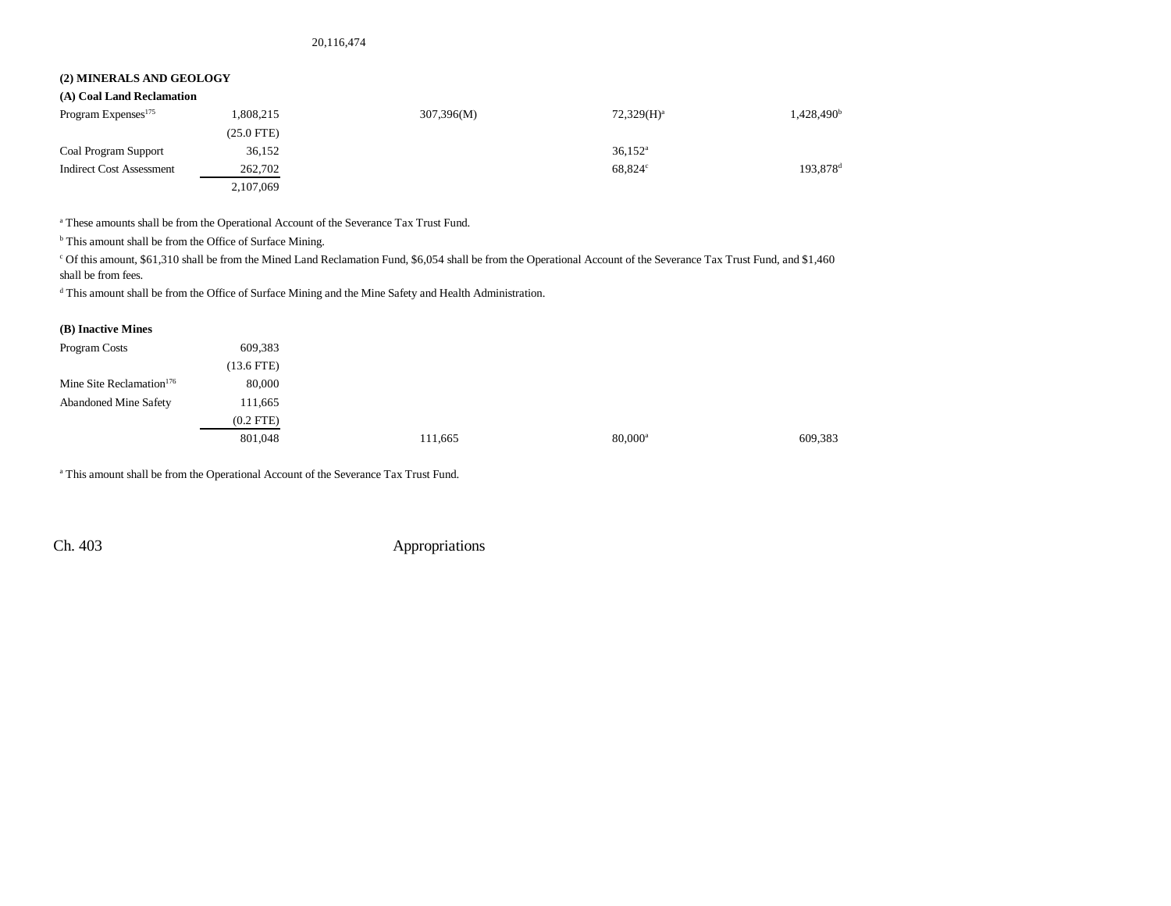20,116,474

## **(2) MINERALS AND GEOLOGY**

## **(A) Coal Land Reclamation**

| Program Expenses <sup>175</sup> | 1,808,215       | 307,396(M) | $72,329(H)^a$    | $1,428,490^b$        |
|---------------------------------|-----------------|------------|------------------|----------------------|
|                                 | $(25.0$ FTE $)$ |            |                  |                      |
| Coal Program Support            | 36,152          |            | $36,152^{\rm a}$ |                      |
| <b>Indirect Cost Assessment</b> | 262,702         |            | $68.824$ °       | 193,878 <sup>d</sup> |
|                                 | 2,107,069       |            |                  |                      |

a These amounts shall be from the Operational Account of the Severance Tax Trust Fund.

<sup>b</sup> This amount shall be from the Office of Surface Mining.

c Of this amount, \$61,310 shall be from the Mined Land Reclamation Fund, \$6,054 shall be from the Operational Account of the Severance Tax Trust Fund, and \$1,460

shall be from fees.

d This amount shall be from the Office of Surface Mining and the Mine Safety and Health Administration.

#### **(B) Inactive Mines**

| Program Costs                        | 609,383        |         |                  |         |
|--------------------------------------|----------------|---------|------------------|---------|
|                                      | $(13.6$ FTE)   |         |                  |         |
| Mine Site Reclamation <sup>176</sup> | 80,000         |         |                  |         |
| <b>Abandoned Mine Safety</b>         | 111,665        |         |                  |         |
|                                      | $(0.2$ FTE $)$ |         |                  |         |
|                                      | 801,048        | 111,665 | $80,000^{\rm a}$ | 609,383 |

a This amount shall be from the Operational Account of the Severance Tax Trust Fund.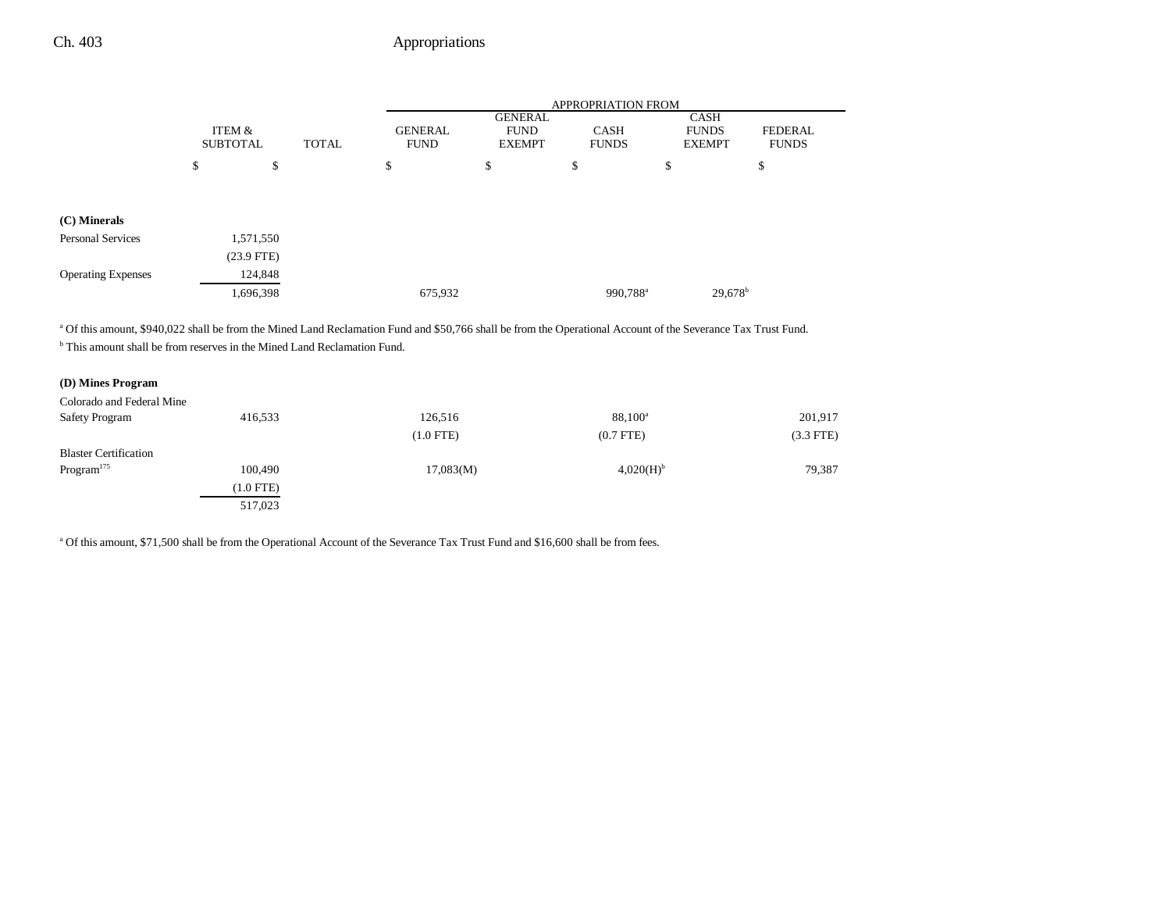|                           |                           |              |                                               | APPROPRIATION FROM |                                         |                             |                       |                                |
|---------------------------|---------------------------|--------------|-----------------------------------------------|--------------------|-----------------------------------------|-----------------------------|-----------------------|--------------------------------|
|                           | ITEM &<br><b>SUBTOTAL</b> |              | <b>GENERAL</b><br><b>TOTAL</b><br><b>FUND</b> |                    | GENERAL<br><b>FUND</b><br><b>EXEMPT</b> | <b>CASH</b><br><b>FUNDS</b> |                       | <b>FEDERAL</b><br><b>FUNDS</b> |
|                           | \$                        | \$           |                                               | \$                 | \$                                      | \$                          | \$                    | \$                             |
| (C) Minerals              |                           |              |                                               |                    |                                         |                             |                       |                                |
| <b>Personal Services</b>  |                           | 1,571,550    |                                               |                    |                                         |                             |                       |                                |
|                           |                           | $(23.9$ FTE) |                                               |                    |                                         |                             |                       |                                |
| <b>Operating Expenses</b> |                           | 124,848      |                                               |                    |                                         |                             |                       |                                |
|                           |                           | 1,696,398    |                                               | 675,932            |                                         | 990,788 <sup>a</sup>        | $29,678$ <sup>b</sup> |                                |
|                           |                           |              |                                               |                    |                                         |                             |                       |                                |

a Of this amount, \$940,022 shall be from the Mined Land Reclamation Fund and \$50,766 shall be from the Operational Account of the Severance Tax Trust Fund.

<sup>b</sup> This amount shall be from reserves in the Mined Land Reclamation Fund.

| (D) Mines Program            |             |             |                         |             |
|------------------------------|-------------|-------------|-------------------------|-------------|
| Colorado and Federal Mine    |             |             |                         |             |
| <b>Safety Program</b>        | 416,533     | 126,516     | $88,100^{\circ}$        | 201,917     |
|                              |             | $(1.0$ FTE) | $(0.7$ FTE)             | $(3.3$ FTE) |
| <b>Blaster Certification</b> |             |             |                         |             |
| Program <sup>175</sup>       | 100,490     | 17,083(M)   | $4,020(H)$ <sup>b</sup> | 79,387      |
|                              | $(1.0$ FTE) |             |                         |             |
|                              | 517,023     |             |                         |             |

a Of this amount, \$71,500 shall be from the Operational Account of the Severance Tax Trust Fund and \$16,600 shall be from fees.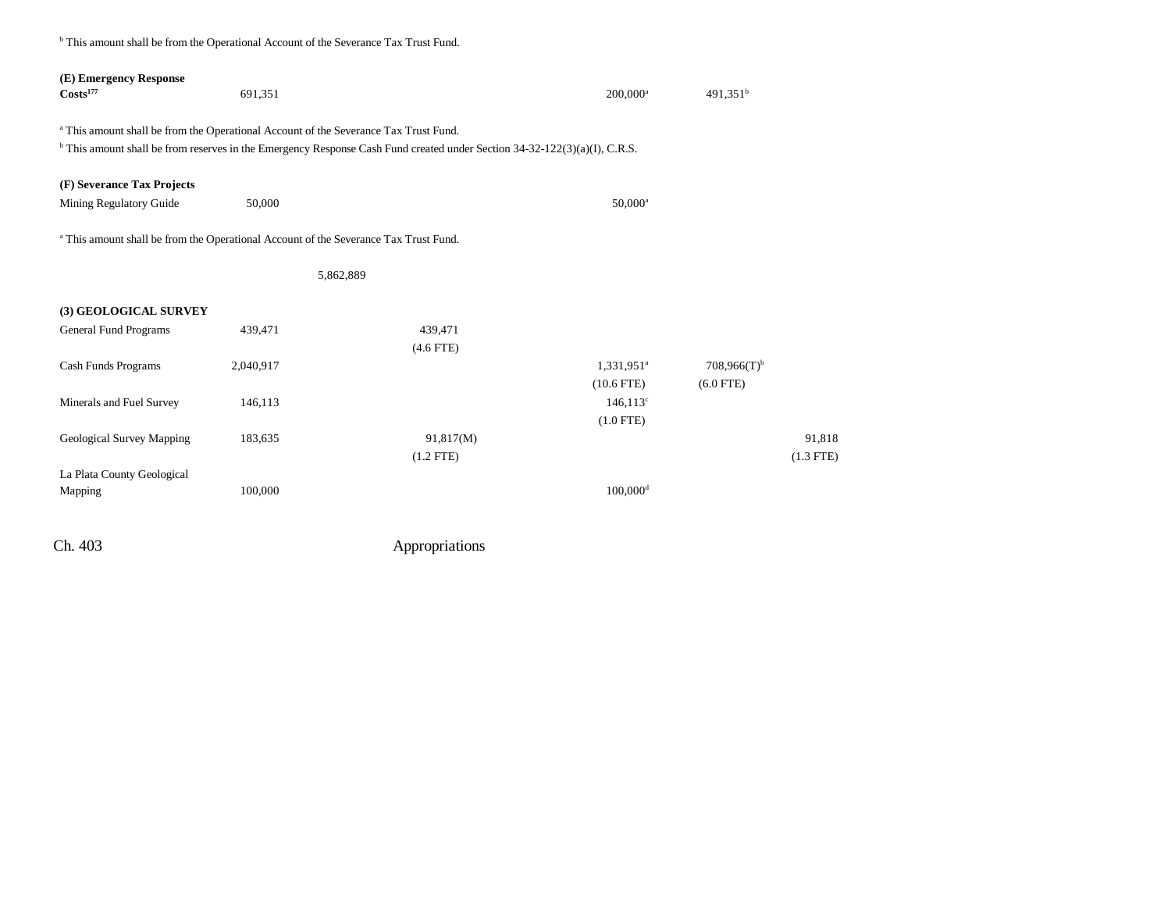| <sup>b</sup> This amount shall be from the Operational Account of the Severance Tax Trust Fund. |           |                                                                                                                                      |                                        |                                          |                       |
|-------------------------------------------------------------------------------------------------|-----------|--------------------------------------------------------------------------------------------------------------------------------------|----------------------------------------|------------------------------------------|-----------------------|
| (E) Emergency Response<br>Costs <sup>177</sup>                                                  | 691,351   |                                                                                                                                      | $200,000^a$                            | 491,351 <sup>b</sup>                     |                       |
| <sup>a</sup> This amount shall be from the Operational Account of the Severance Tax Trust Fund. |           | <sup>b</sup> This amount shall be from reserves in the Emergency Response Cash Fund created under Section 34-32-122(3)(a)(I), C.R.S. |                                        |                                          |                       |
| (F) Severance Tax Projects<br>Mining Regulatory Guide                                           | 50,000    |                                                                                                                                      | 50,000 <sup>a</sup>                    |                                          |                       |
| <sup>a</sup> This amount shall be from the Operational Account of the Severance Tax Trust Fund. |           |                                                                                                                                      |                                        |                                          |                       |
|                                                                                                 |           | 5,862,889                                                                                                                            |                                        |                                          |                       |
| (3) GEOLOGICAL SURVEY                                                                           |           |                                                                                                                                      |                                        |                                          |                       |
| General Fund Programs                                                                           | 439,471   | 439,471<br>$(4.6$ FTE)                                                                                                               |                                        |                                          |                       |
| Cash Funds Programs                                                                             | 2,040,917 |                                                                                                                                      | 1,331,951 <sup>a</sup><br>$(10.6$ FTE) | $708,966(T)$ <sup>b</sup><br>$(6.0$ FTE) |                       |
| Minerals and Fuel Survey                                                                        | 146,113   |                                                                                                                                      | $146,113^{\circ}$<br>$(1.0$ FTE)       |                                          |                       |
| Geological Survey Mapping                                                                       | 183,635   | 91,817(M)<br>$(1.2$ FTE)                                                                                                             |                                        |                                          | 91,818<br>$(1.3$ FTE) |
| La Plata County Geological<br>Mapping                                                           | 100,000   |                                                                                                                                      | $100,000$ <sup>d</sup>                 |                                          |                       |

(1.2 FTE) (1.3 FTE)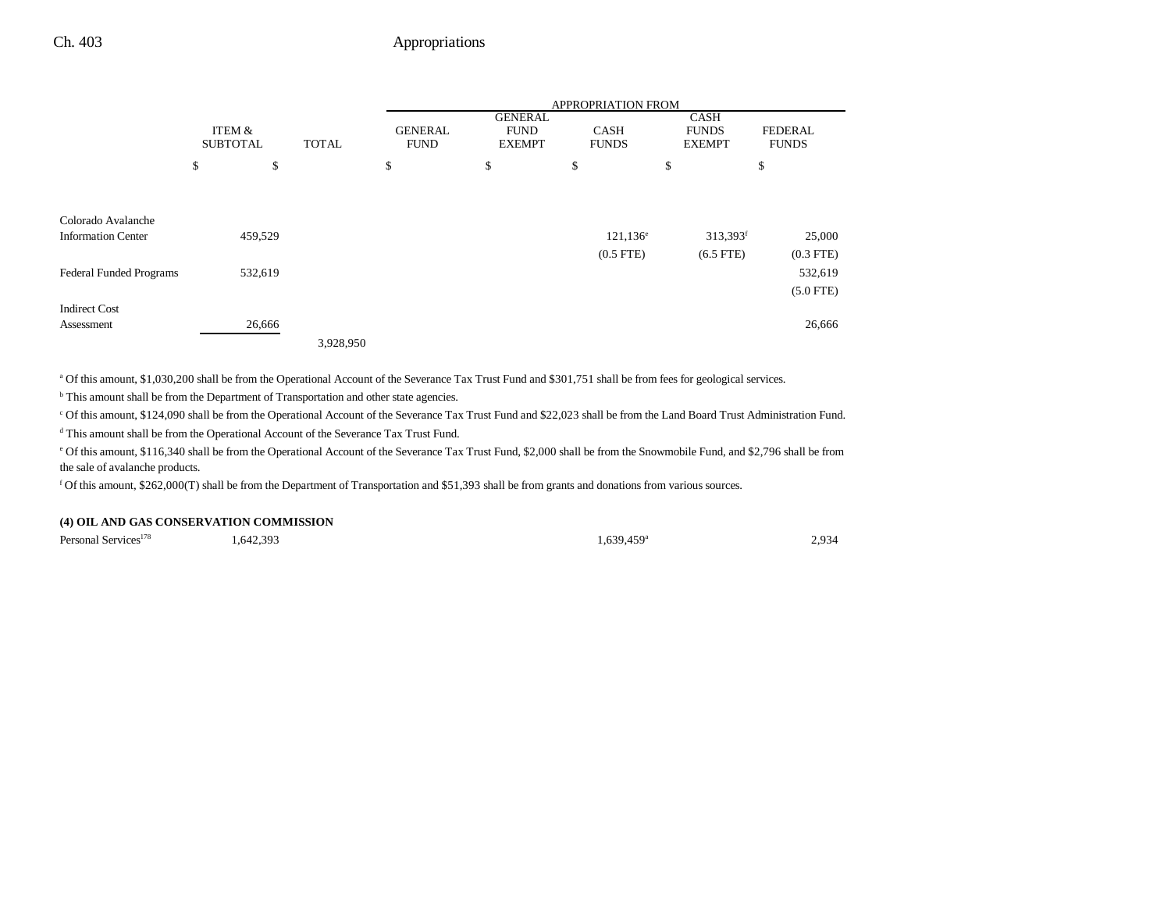|                                |                           | APPROPRIATION FROM |              |                               |                                                |                             |                                              |                                |  |
|--------------------------------|---------------------------|--------------------|--------------|-------------------------------|------------------------------------------------|-----------------------------|----------------------------------------------|--------------------------------|--|
|                                | ITEM &<br><b>SUBTOTAL</b> |                    | <b>TOTAL</b> | <b>GENERAL</b><br><b>FUND</b> | <b>GENERAL</b><br><b>FUND</b><br><b>EXEMPT</b> | <b>CASH</b><br><b>FUNDS</b> | <b>CASH</b><br><b>FUNDS</b><br><b>EXEMPT</b> | <b>FEDERAL</b><br><b>FUNDS</b> |  |
|                                | \$                        | \$                 |              | \$                            | \$                                             | \$                          | \$                                           | \$                             |  |
|                                |                           |                    |              |                               |                                                |                             |                                              |                                |  |
| Colorado Avalanche             |                           |                    |              |                               |                                                |                             |                                              |                                |  |
| <b>Information Center</b>      | 459,529                   |                    |              |                               |                                                | $121,136^e$                 | 313,393 <sup>f</sup>                         | 25,000                         |  |
|                                |                           |                    |              |                               |                                                | $(0.5$ FTE $)$              | $(6.5$ FTE)                                  | $(0.3$ FTE)                    |  |
| <b>Federal Funded Programs</b> | 532,619                   |                    |              |                               |                                                |                             |                                              | 532,619                        |  |
|                                |                           |                    |              |                               |                                                |                             |                                              | $(5.0$ FTE)                    |  |
| <b>Indirect Cost</b>           |                           |                    |              |                               |                                                |                             |                                              |                                |  |
| Assessment                     |                           | 26,666             |              |                               |                                                |                             |                                              | 26,666                         |  |
|                                |                           |                    | 3,928,950    |                               |                                                |                             |                                              |                                |  |

<sup>a</sup> Of this amount, \$1,030,200 shall be from the Operational Account of the Severance Tax Trust Fund and \$301,751 shall be from fees for geological services.

 $^{\rm b}$  This amount shall be from the Department of Transportation and other state agencies.

c Of this amount, \$124,090 shall be from the Operational Account of the Severance Tax Trust Fund and \$22,023 shall be from the Land Board Trust Administration Fund.

d This amount shall be from the Operational Account of the Severance Tax Trust Fund.

e Of this amount, \$116,340 shall be from the Operational Account of the Severance Tax Trust Fund, \$2,000 shall be from the Snowmobile Fund, and \$2,796 shall be from the sale of avalanche products.

f Of this amount, \$262,000(T) shall be from the Department of Transportation and \$51,393 shall be from grants and donations from various sources.

### **(4) OIL AND GAS CONSERVATION COMMISSION**

Personal Services<sup>178</sup> 1,642,393 1,639,459<sup>a</sup> 1,639,459<sup>a</sup> 2,934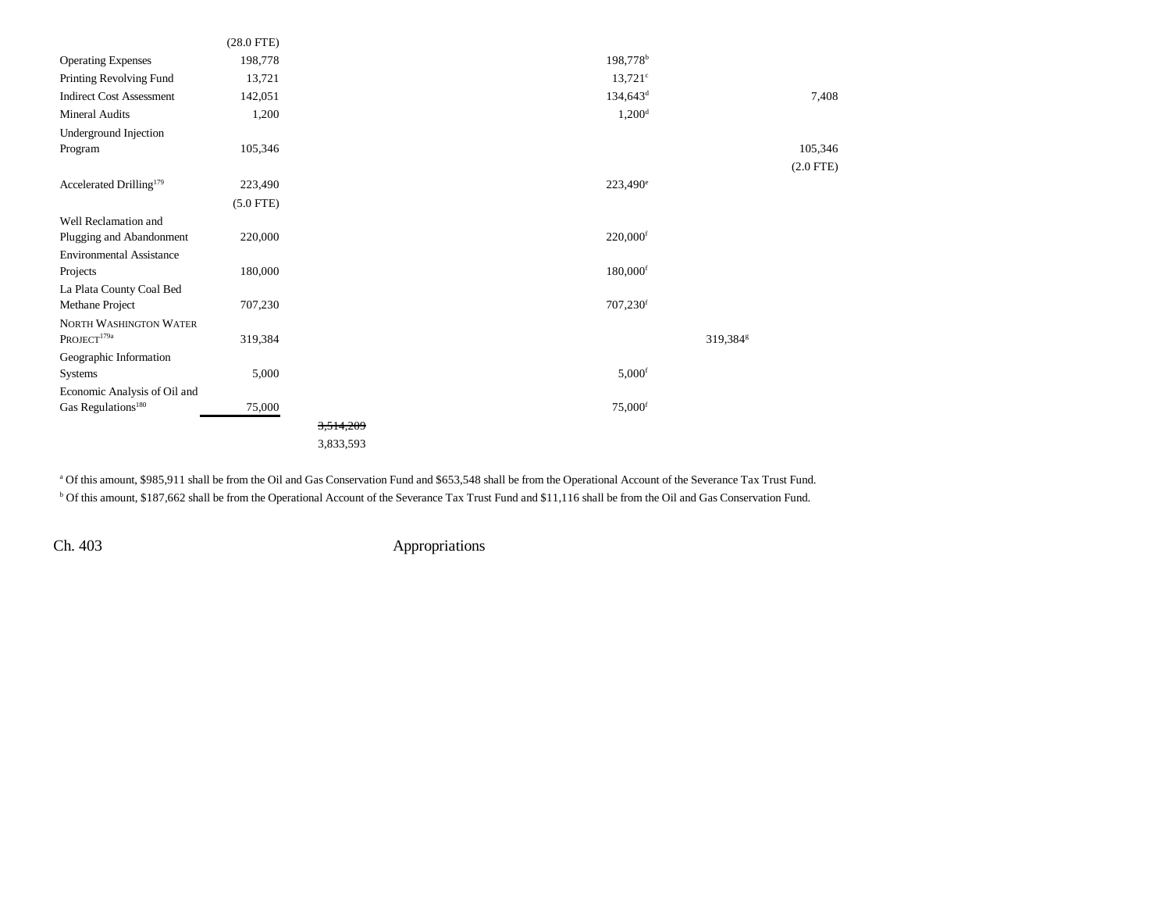|                                     | (28.0 FTE)  |           |                        |                      |             |
|-------------------------------------|-------------|-----------|------------------------|----------------------|-------------|
| <b>Operating Expenses</b>           | 198,778     |           | 198,778 <sup>b</sup>   |                      |             |
| Printing Revolving Fund             | 13,721      |           | $13,721^{\circ}$       |                      |             |
| <b>Indirect Cost Assessment</b>     | 142,051     |           | $134,643^{\rm d}$      |                      | 7,408       |
| Mineral Audits                      | 1,200       |           | $1,200$ <sup>d</sup>   |                      |             |
| Underground Injection               |             |           |                        |                      |             |
| Program                             | 105,346     |           |                        |                      | 105,346     |
|                                     |             |           |                        |                      | $(2.0$ FTE) |
| Accelerated Drilling <sup>179</sup> | 223,490     |           | $223,490^{\circ}$      |                      |             |
|                                     | $(5.0$ FTE) |           |                        |                      |             |
| Well Reclamation and                |             |           |                        |                      |             |
| Plugging and Abandonment            | 220,000     |           | $220,000$ <sup>f</sup> |                      |             |
| <b>Environmental Assistance</b>     |             |           |                        |                      |             |
| Projects                            | 180,000     |           | $180,000$ <sup>f</sup> |                      |             |
| La Plata County Coal Bed            |             |           |                        |                      |             |
| Methane Project                     | 707,230     |           | $707,230$ <sup>f</sup> |                      |             |
| <b>NORTH WASHINGTON WATER</b>       |             |           |                        |                      |             |
| PROJECT <sup>179a</sup>             | 319,384     |           |                        | 319,384 <sup>g</sup> |             |
| Geographic Information              |             |           |                        |                      |             |
| <b>Systems</b>                      | 5,000       |           | $5,000$ <sup>f</sup>   |                      |             |
| Economic Analysis of Oil and        |             |           |                        |                      |             |
| $\rm Gas\,Regulations^{180}$        | 75,000      |           | 75,000 <sup>f</sup>    |                      |             |
|                                     |             | 3,514,209 |                        |                      |             |
|                                     |             | 3,833,593 |                        |                      |             |

<sup>a</sup> Of this amount, \$985,911 shall be from the Oil and Gas Conservation Fund and \$653,548 shall be from the Operational Account of the Severance Tax Trust Fund. b Of this amount, \$187,662 shall be from the Operational Account of the Severance Tax Trust Fund and \$11,116 shall be from the Oil and Gas Conservation Fund.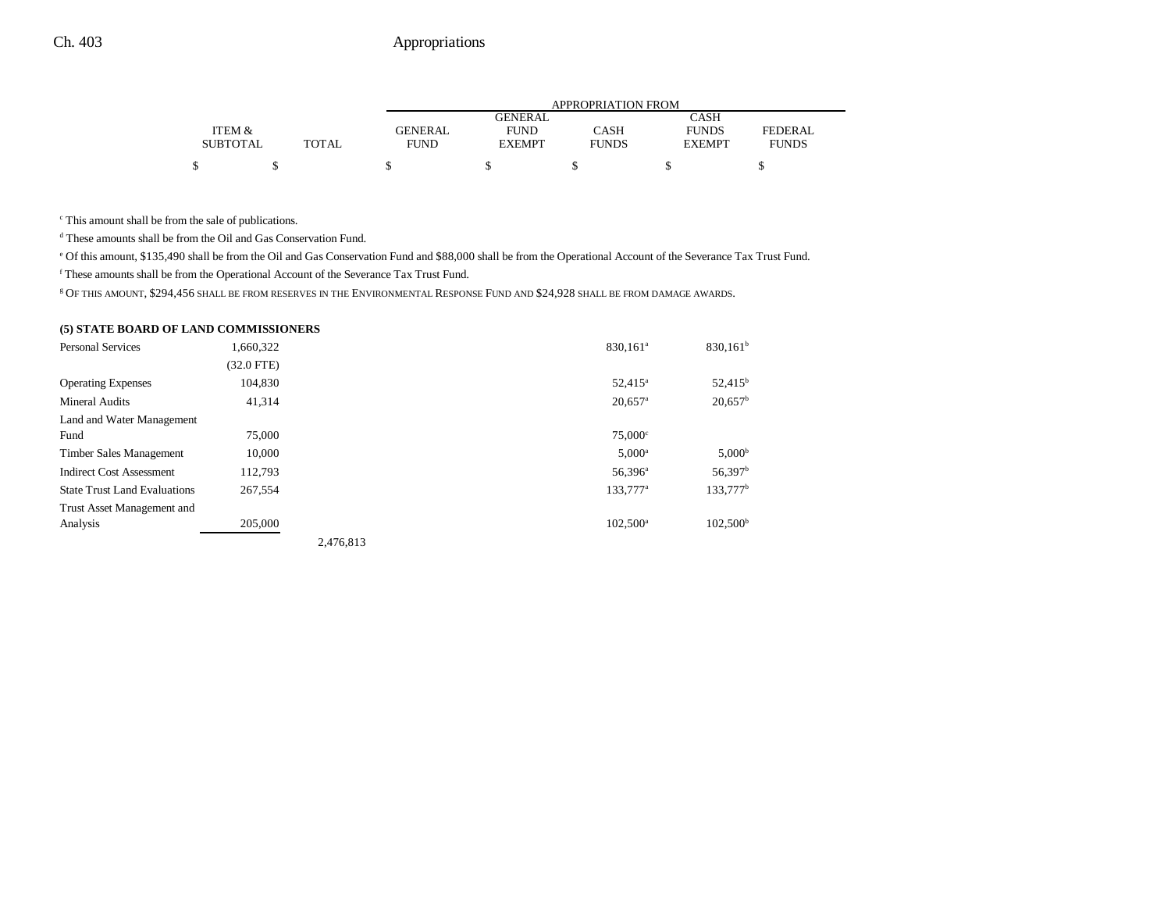|                 |              | APPROPRIATION FROM |                |              |               |                |  |
|-----------------|--------------|--------------------|----------------|--------------|---------------|----------------|--|
|                 |              |                    | <b>GENERAL</b> |              | <b>CASH</b>   |                |  |
| ITEM &          |              | <b>GENERAL</b>     | <b>FUND</b>    | CASH         | <b>FUNDS</b>  | <b>FEDERAL</b> |  |
| <b>SUBTOTAL</b> | <b>TOTAL</b> | <b>FUND</b>        | <b>EXEMPT</b>  | <b>FUNDS</b> | <b>EXEMPT</b> | <b>FUNDS</b>   |  |
|                 |              |                    |                |              |               |                |  |

c This amount shall be from the sale of publications.

d These amounts shall be from the Oil and Gas Conservation Fund.

e Of this amount, \$135,490 shall be from the Oil and Gas Conservation Fund and \$88,000 shall be from the Operational Account of the Severance Tax Trust Fund.

f These amounts shall be from the Operational Account of the Severance Tax Trust Fund.

g OF THIS AMOUNT, \$294,456 SHALL BE FROM RESERVES IN THE ENVIRONMENTAL RESPONSE FUND AND \$24,928 SHALL BE FROM DAMAGE AWARDS.

#### **(5) STATE BOARD OF LAND COMMISSIONERS**

| <b>Personal Services</b>            | 1.660.322       |           | 830.161 <sup>a</sup>  | $830,161^b$         |
|-------------------------------------|-----------------|-----------|-----------------------|---------------------|
|                                     | $(32.0$ FTE $)$ |           |                       |                     |
| <b>Operating Expenses</b>           | 104,830         |           | $52,415^{\circ}$      | $52,415^{\rm b}$    |
| Mineral Audits                      | 41.314          |           | $20,657$ <sup>a</sup> | $20,657^{\rm b}$    |
| Land and Water Management           |                 |           |                       |                     |
| Fund                                | 75,000          |           | $75,000^{\circ}$      |                     |
| Timber Sales Management             | 10,000          |           | $5,000^a$             | 5,000 <sup>b</sup>  |
| <b>Indirect Cost Assessment</b>     | 112.793         |           | 56,396 <sup>a</sup>   | 56,397 <sup>b</sup> |
| <b>State Trust Land Evaluations</b> | 267,554         |           | 133,777 <sup>a</sup>  | $133,777^b$         |
| Trust Asset Management and          |                 |           |                       |                     |
| Analysis                            | 205,000         |           | $102,500^{\circ}$     | $102,500^{\rm b}$   |
|                                     |                 | 2.476.813 |                       |                     |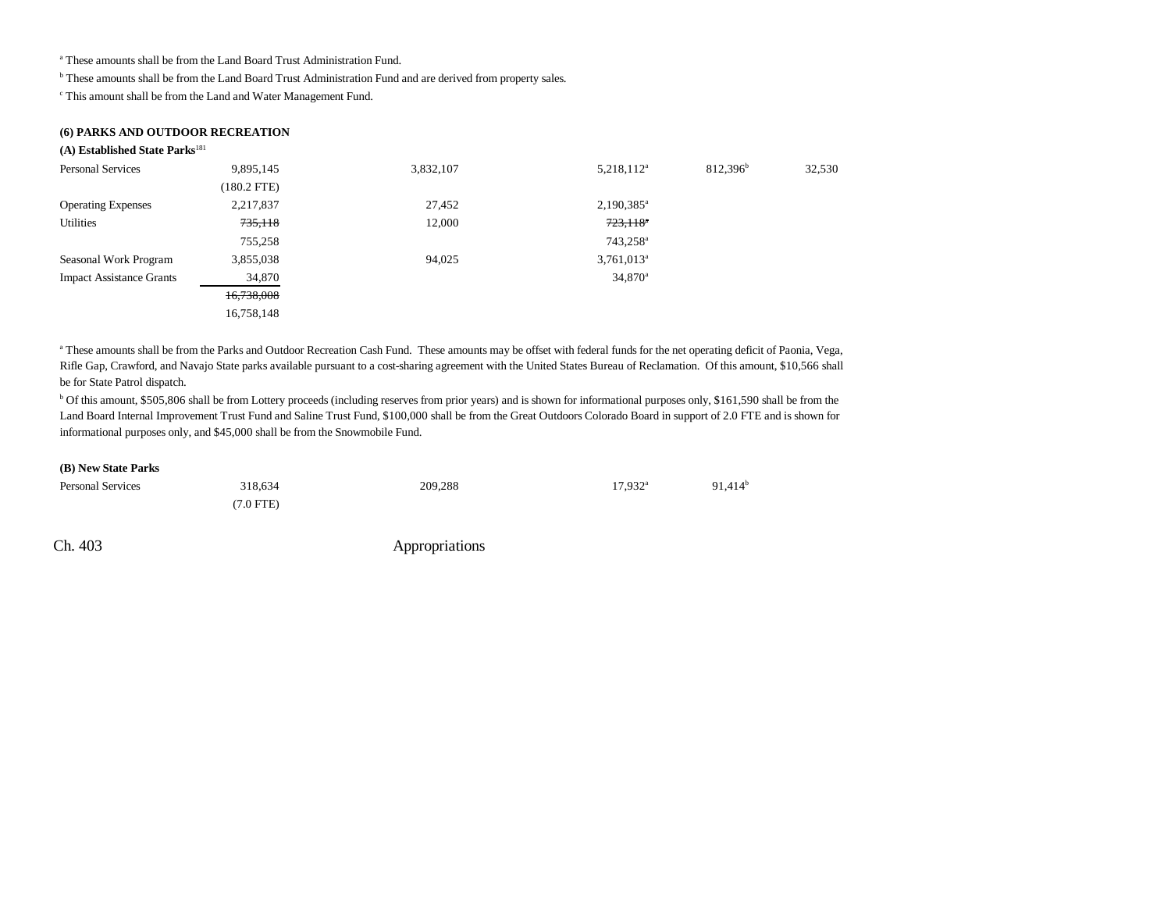a These amounts shall be from the Land Board Trust Administration Fund.

**b** These amounts shall be from the Land Board Trust Administration Fund and are derived from property sales.

c This amount shall be from the Land and Water Management Fund.

#### **(6) PARKS AND OUTDOOR RECREATION**

## **(A) Established State Parks**<sup>181</sup>

| <b>Personal Services</b>        | 9,895,145   | 3,832,107 | $5,218,112^a$          | 812,396 <sup>b</sup> | 32,530 |
|---------------------------------|-------------|-----------|------------------------|----------------------|--------|
|                                 | (180.2 FTE) |           |                        |                      |        |
| <b>Operating Expenses</b>       | 2,217,837   | 27,452    | 2,190,385 <sup>a</sup> |                      |        |
| Utilities                       | 735,118     | 12,000    | $723,118^{n}$          |                      |        |
|                                 | 755,258     |           | 743,258 <sup>a</sup>   |                      |        |
| Seasonal Work Program           | 3,855,038   | 94,025    | 3,761,013 <sup>a</sup> |                      |        |
| <b>Impact Assistance Grants</b> | 34,870      |           | $34,870^{\circ}$       |                      |        |
|                                 | 16,738,008  |           |                        |                      |        |
|                                 | 16,758,148  |           |                        |                      |        |

a These amounts shall be from the Parks and Outdoor Recreation Cash Fund. These amounts may be offset with federal funds for the net operating deficit of Paonia, Vega, Rifle Gap, Crawford, and Navajo State parks available pursuant to a cost-sharing agreement with the United States Bureau of Reclamation. Of this amount, \$10,566 shall be for State Patrol dispatch.

<sup>b</sup> Of this amount, \$505,806 shall be from Lottery proceeds (including reserves from prior years) and is shown for informational purposes only, \$161,590 shall be from the Land Board Internal Improvement Trust Fund and Saline Trust Fund, \$100,000 shall be from the Great Outdoors Colorado Board in support of 2.0 FTE and is shown for informational purposes only, and \$45,000 shall be from the Snowmobile Fund.

#### **(B) New State Parks**

| <b>Personal Services</b> | 318,634    | 209,288 | $17,932^{\circ}$ | $91,414^b$ |
|--------------------------|------------|---------|------------------|------------|
|                          | $7.0$ FTE) |         |                  |            |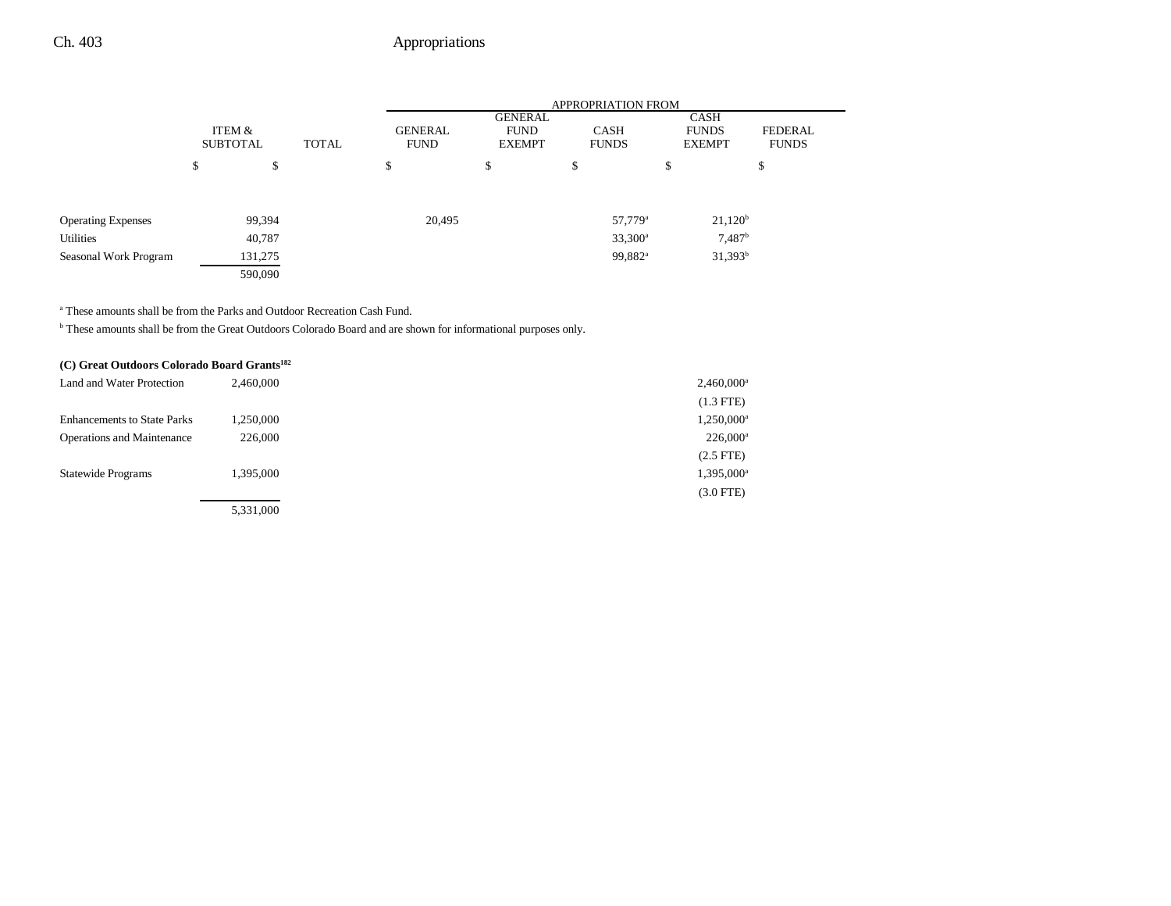|                           |                           |              |                               |                                                | <b>APPROPRIATION FROM</b>   |                                       |                                |  |
|---------------------------|---------------------------|--------------|-------------------------------|------------------------------------------------|-----------------------------|---------------------------------------|--------------------------------|--|
|                           | ITEM &<br><b>SUBTOTAL</b> | <b>TOTAL</b> | <b>GENERAL</b><br><b>FUND</b> | <b>GENERAL</b><br><b>FUND</b><br><b>EXEMPT</b> | <b>CASH</b><br><b>FUNDS</b> | CASH<br><b>FUNDS</b><br><b>EXEMPT</b> | <b>FEDERAL</b><br><b>FUNDS</b> |  |
|                           | \$<br>\$                  |              | \$                            | \$                                             | \$                          | \$                                    | Φ                              |  |
| <b>Operating Expenses</b> | 99,394                    |              | 20,495                        |                                                |                             | 57,779 <sup>a</sup>                   | 21,120 <sup>b</sup>            |  |
| Utilities                 | 40,787                    |              |                               |                                                |                             | $33,300^a$                            | 7,487 <sup>b</sup>             |  |
| Seasonal Work Program     | 131,275                   |              |                               |                                                |                             | 99,882 <sup>a</sup>                   | $31,393^b$                     |  |
|                           | 590,090                   |              |                               |                                                |                             |                                       |                                |  |

a These amounts shall be from the Parks and Outdoor Recreation Cash Fund.

b These amounts shall be from the Great Outdoors Colorado Board and are shown for informational purposes only.

| (C) Great Outdoors Colorado Board Grants <sup>182</sup> |           |                          |
|---------------------------------------------------------|-----------|--------------------------|
| Land and Water Protection                               | 2.460,000 | $2,460,000$ <sup>a</sup> |
|                                                         |           | $(1.3$ FTE)              |
| <b>Enhancements to State Parks</b>                      | 1,250,000 | 1,250,000 <sup>a</sup>   |
| <b>Operations and Maintenance</b>                       | 226,000   | $226,000^a$              |
|                                                         |           | $(2.5$ FTE $)$           |
| <b>Statewide Programs</b>                               | 1.395,000 | 1,395,000 <sup>a</sup>   |
|                                                         |           | $(3.0$ FTE $)$           |
|                                                         | 5,331,000 |                          |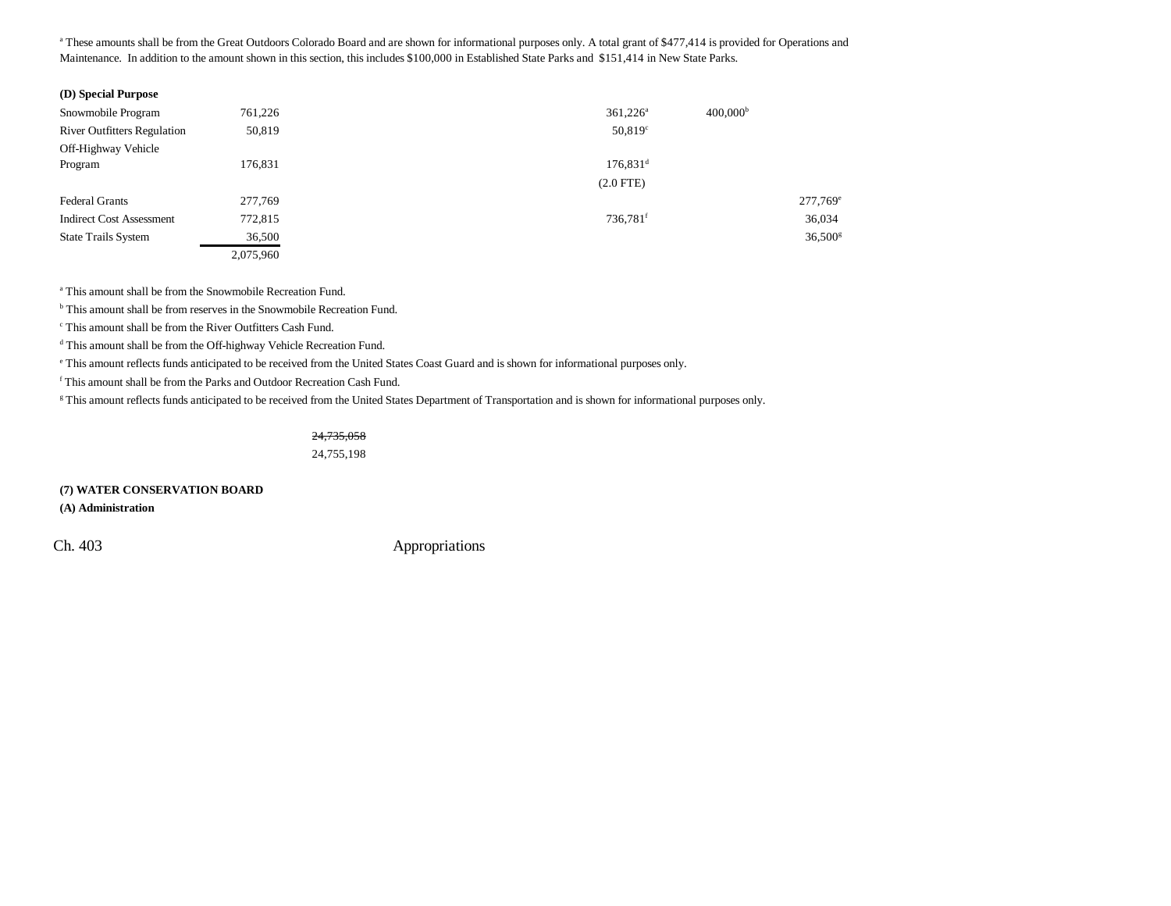<sup>a</sup> These amounts shall be from the Great Outdoors Colorado Board and are shown for informational purposes only. A total grant of \$477,414 is provided for Operations and Maintenance. In addition to the amount shown in this section, this includes \$100,000 in Established State Parks and \$151,414 in New State Parks.

| (D) Special Purpose                |           |                        |                      |
|------------------------------------|-----------|------------------------|----------------------|
| Snowmobile Program                 | 761,226   | $361,226^a$            | 400,000 <sup>b</sup> |
| <b>River Outfitters Regulation</b> | 50,819    | $50,819^{\circ}$       |                      |
| Off-Highway Vehicle                |           |                        |                      |
| Program                            | 176,831   | $176,831$ <sup>d</sup> |                      |
|                                    |           | $(2.0$ FTE)            |                      |
| <b>Federal Grants</b>              | 277,769   |                        | $277,769^e$          |
| <b>Indirect Cost Assessment</b>    | 772,815   | 736,781f               | 36,034               |
| <b>State Trails System</b>         | 36,500    |                        | $36,500^{\rm g}$     |
|                                    | 2,075,960 |                        |                      |

a This amount shall be from the Snowmobile Recreation Fund.

<sup>b</sup> This amount shall be from reserves in the Snowmobile Recreation Fund.

c This amount shall be from the River Outfitters Cash Fund.

d This amount shall be from the Off-highway Vehicle Recreation Fund.

e This amount reflects funds anticipated to be received from the United States Coast Guard and is shown for informational purposes only.

f This amount shall be from the Parks and Outdoor Recreation Cash Fund.

<sup>g</sup> This amount reflects funds anticipated to be received from the United States Department of Transportation and is shown for informational purposes only.

## 24,735,058

24,755,198

**(7) WATER CONSERVATION BOARD**

**(A) Administration**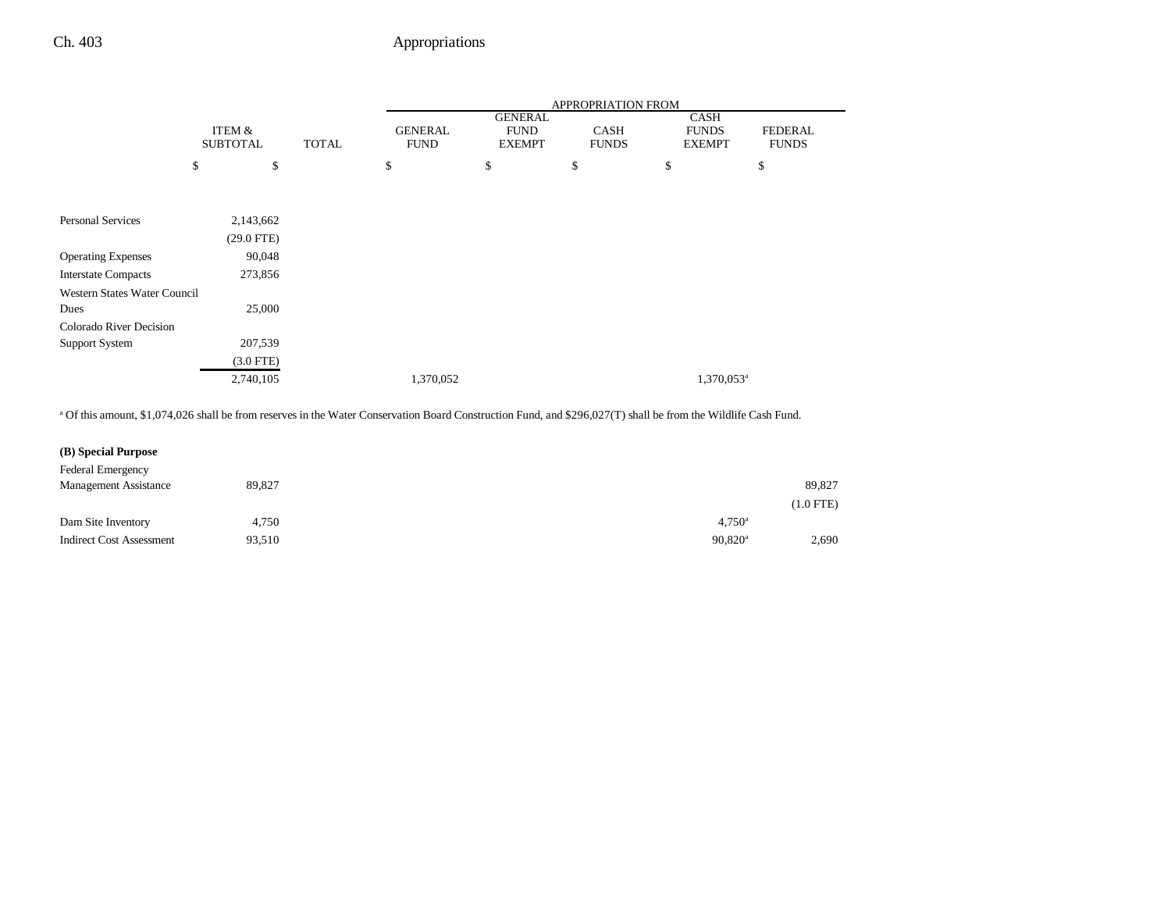|                                     |                 |              |                |                | APPROPRIATION FROM |                        |                |
|-------------------------------------|-----------------|--------------|----------------|----------------|--------------------|------------------------|----------------|
|                                     |                 |              |                | <b>GENERAL</b> |                    | <b>CASH</b>            |                |
|                                     | ITEM &          |              | <b>GENERAL</b> | <b>FUND</b>    | <b>CASH</b>        | <b>FUNDS</b>           | <b>FEDERAL</b> |
|                                     | <b>SUBTOTAL</b> | <b>TOTAL</b> | <b>FUND</b>    | <b>EXEMPT</b>  | <b>FUNDS</b>       | <b>EXEMPT</b>          | <b>FUNDS</b>   |
|                                     | \$<br>\$        |              | \$             | \$             | \$                 | \$                     | \$             |
|                                     |                 |              |                |                |                    |                        |                |
|                                     |                 |              |                |                |                    |                        |                |
| <b>Personal Services</b>            | 2,143,662       |              |                |                |                    |                        |                |
|                                     | $(29.0$ FTE)    |              |                |                |                    |                        |                |
| <b>Operating Expenses</b>           | 90,048          |              |                |                |                    |                        |                |
| <b>Interstate Compacts</b>          | 273,856         |              |                |                |                    |                        |                |
| <b>Western States Water Council</b> |                 |              |                |                |                    |                        |                |
| Dues                                | 25,000          |              |                |                |                    |                        |                |
| Colorado River Decision             |                 |              |                |                |                    |                        |                |
| <b>Support System</b>               | 207,539         |              |                |                |                    |                        |                |
|                                     | $(3.0$ FTE)     |              |                |                |                    |                        |                |
|                                     | 2,740,105       |              | 1,370,052      |                |                    | 1,370,053 <sup>a</sup> |                |

<sup>a</sup> Of this amount, \$1,074,026 shall be from reserves in the Water Conservation Board Construction Fund, and \$296,027(T) shall be from the Wildlife Cash Fund.

## **(B) Special Purpose**

| <b>Federal Emergency</b>        |        |                       |             |
|---------------------------------|--------|-----------------------|-------------|
| <b>Management Assistance</b>    | 89,827 |                       | 89,827      |
|                                 |        |                       | $(1.0$ FTE) |
| Dam Site Inventory              | 4,750  | $4.750^{\circ}$       |             |
| <b>Indirect Cost Assessment</b> | 93,510 | $90.820$ <sup>a</sup> | 2,690       |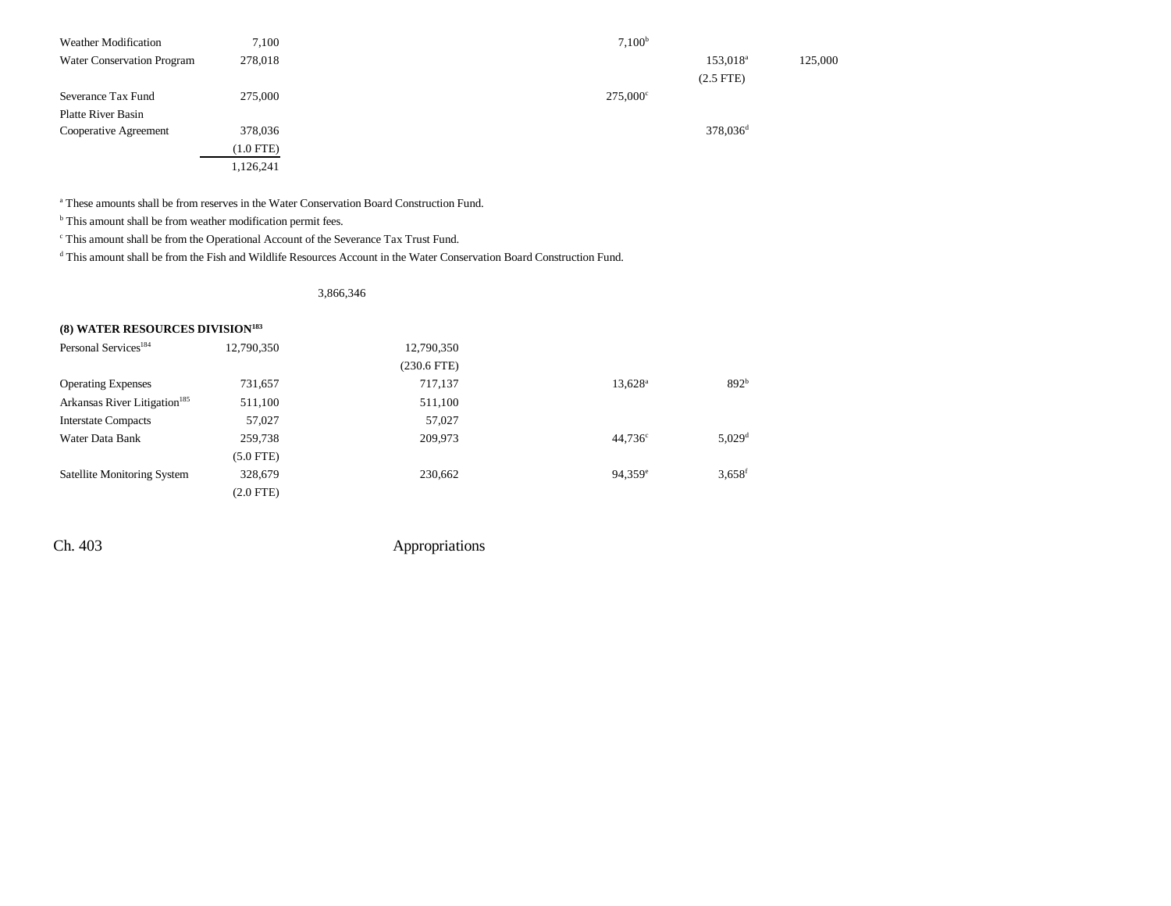| <b>Weather Modification</b> | 7,100       | 7,100 <sup>b</sup> |                      |         |
|-----------------------------|-------------|--------------------|----------------------|---------|
| Water Conservation Program  | 278,018     |                    | 153,018 <sup>a</sup> | 125,000 |
|                             |             |                    | $(2.5$ FTE)          |         |
| Severance Tax Fund          | 275,000     | $275,000^{\circ}$  |                      |         |
| <b>Platte River Basin</b>   |             |                    |                      |         |
| Cooperative Agreement       | 378,036     |                    | $378,036^{\rm d}$    |         |
|                             | $(1.0$ FTE) |                    |                      |         |
|                             | 1,126,241   |                    |                      |         |

a These amounts shall be from reserves in the Water Conservation Board Construction Fund.

 $<sup>b</sup>$  This amount shall be from weather modification permit fees.</sup>

c This amount shall be from the Operational Account of the Severance Tax Trust Fund.

d This amount shall be from the Fish and Wildlife Resources Account in the Water Conservation Board Construction Fund.

#### 3,866,346

# **(8) WATER RESOURCES DIVISION<sup>183</sup>**

| Personal Services <sup>184</sup>         | 12,790,350     | 12,790,350    |                  |                      |
|------------------------------------------|----------------|---------------|------------------|----------------------|
|                                          |                | $(230.6$ FTE) |                  |                      |
| <b>Operating Expenses</b>                | 731,657        | 717,137       | $13,628^{\circ}$ | 892 <sup>b</sup>     |
| Arkansas River Litigation <sup>185</sup> | 511,100        | 511,100       |                  |                      |
| <b>Interstate Compacts</b>               | 57,027         | 57,027        |                  |                      |
| Water Data Bank                          | 259,738        | 209,973       | $44.736^{\circ}$ | $5,029$ <sup>d</sup> |
|                                          | $(5.0$ FTE)    |               |                  |                      |
| <b>Satellite Monitoring System</b>       | 328,679        | 230,662       | $94.359^{\circ}$ | $3,658$ <sup>f</sup> |
|                                          | $(2.0$ FTE $)$ |               |                  |                      |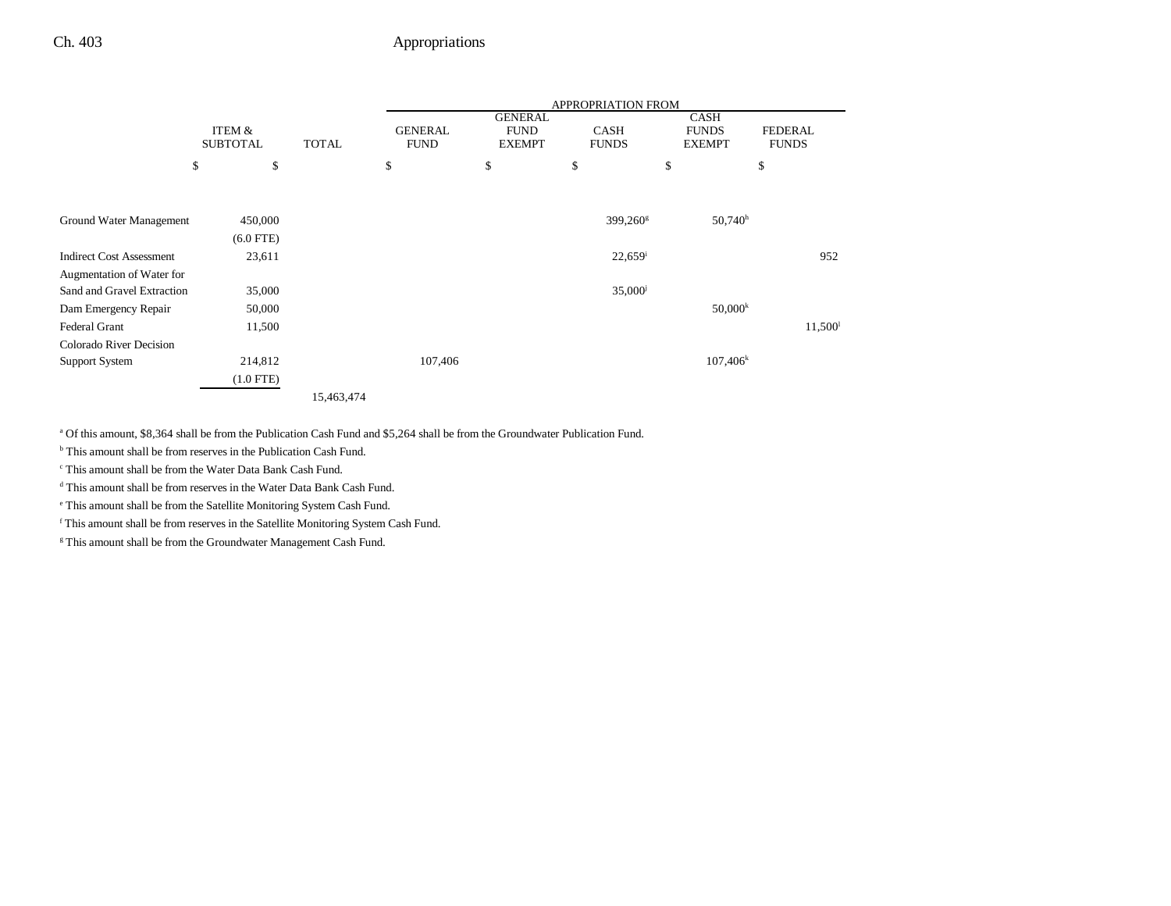|                                 |                           |              |                               |                                                | <b>APPROPRIATION FROM</b>   |                                              |                                |
|---------------------------------|---------------------------|--------------|-------------------------------|------------------------------------------------|-----------------------------|----------------------------------------------|--------------------------------|
|                                 | ITEM &<br><b>SUBTOTAL</b> | <b>TOTAL</b> | <b>GENERAL</b><br><b>FUND</b> | <b>GENERAL</b><br><b>FUND</b><br><b>EXEMPT</b> | <b>CASH</b><br><b>FUNDS</b> | <b>CASH</b><br><b>FUNDS</b><br><b>EXEMPT</b> | <b>FEDERAL</b><br><b>FUNDS</b> |
|                                 | \$<br>\$                  |              | \$                            | \$                                             | \$                          | \$                                           | \$                             |
|                                 |                           |              |                               |                                                |                             |                                              |                                |
| Ground Water Management         | 450,000                   |              |                               |                                                | 399,260 <sup>g</sup>        | $50,740^{\rm h}$                             |                                |
|                                 | $(6.0$ FTE)               |              |                               |                                                |                             |                                              |                                |
| <b>Indirect Cost Assessment</b> | 23,611                    |              |                               |                                                | $22,659$ <sup>i</sup>       |                                              | 952                            |
| Augmentation of Water for       |                           |              |                               |                                                |                             |                                              |                                |
| Sand and Gravel Extraction      | 35,000                    |              |                               |                                                | $35,000^{\circ}$            |                                              |                                |
| Dam Emergency Repair            | 50,000                    |              |                               |                                                |                             | $50,000^k$                                   |                                |
| Federal Grant                   | 11,500                    |              |                               |                                                |                             |                                              | 11,500 <sup>1</sup>            |
| Colorado River Decision         |                           |              |                               |                                                |                             |                                              |                                |
| <b>Support System</b>           | 214,812                   |              | 107,406                       |                                                |                             | $107,406^k$                                  |                                |
|                                 | $(1.0$ FTE)               |              |                               |                                                |                             |                                              |                                |
|                                 |                           | 15,463,474   |                               |                                                |                             |                                              |                                |

a Of this amount, \$8,364 shall be from the Publication Cash Fund and \$5,264 shall be from the Groundwater Publication Fund.

b This amount shall be from reserves in the Publication Cash Fund.

c This amount shall be from the Water Data Bank Cash Fund.

d This amount shall be from reserves in the Water Data Bank Cash Fund.

 $^\mathrm{e}$  This amount shall be from the Satellite Monitoring System Cash Fund.

 $^{\rm f}$  This amount shall be from reserves in the Satellite Monitoring System Cash Fund.

<sup>g</sup> This amount shall be from the Groundwater Management Cash Fund.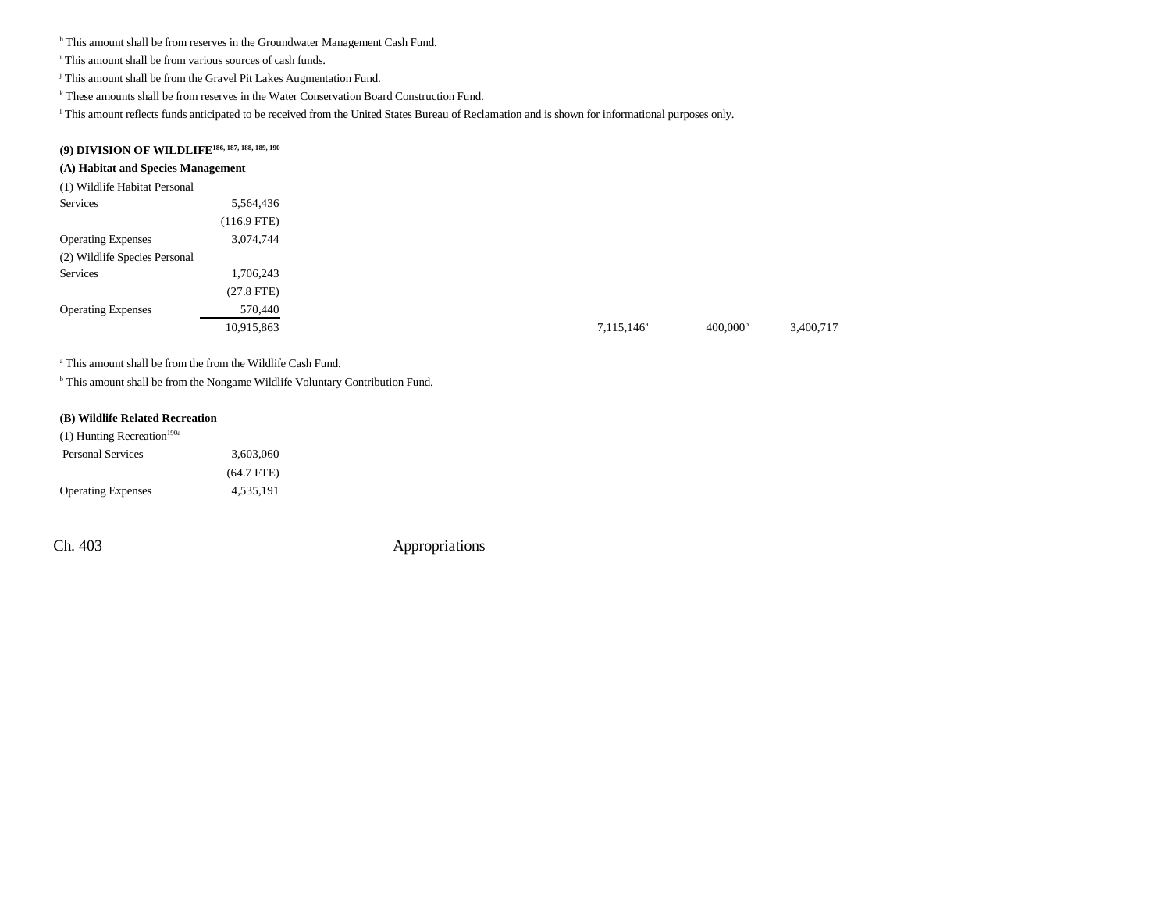h This amount shall be from reserves in the Groundwater Management Cash Fund.

i This amount shall be from various sources of cash funds.

 $j$  This amount shall be from the Gravel Pit Lakes Augmentation Fund.

k These amounts shall be from reserves in the Water Conservation Board Construction Fund.

<sup>1</sup> This amount reflects funds anticipated to be received from the United States Bureau of Reclamation and is shown for informational purposes only.

# **(9) DIVISION OF WILDLIFE186, 187, 188, 189, 190**

#### **(A) Habitat and Species Management**

| (1) Wildlife Habitat Personal |               |
|-------------------------------|---------------|
| Services                      | 5,564,436     |
|                               | $(116.9$ FTE) |
| <b>Operating Expenses</b>     | 3,074,744     |
| (2) Wildlife Species Personal |               |
| Services                      | 1,706,243     |
|                               | $(27.8$ FTE)  |
| <b>Operating Expenses</b>     | 570,440       |
|                               | 10,915,863    |

a This amount shall be from the from the Wildlife Cash Fund.

b This amount shall be from the Nongame Wildlife Voluntary Contribution Fund.

#### **(B) Wildlife Related Recreation**

| 3.603.060    |
|--------------|
| $(64.7$ FTE) |
| 4.535.191    |
|              |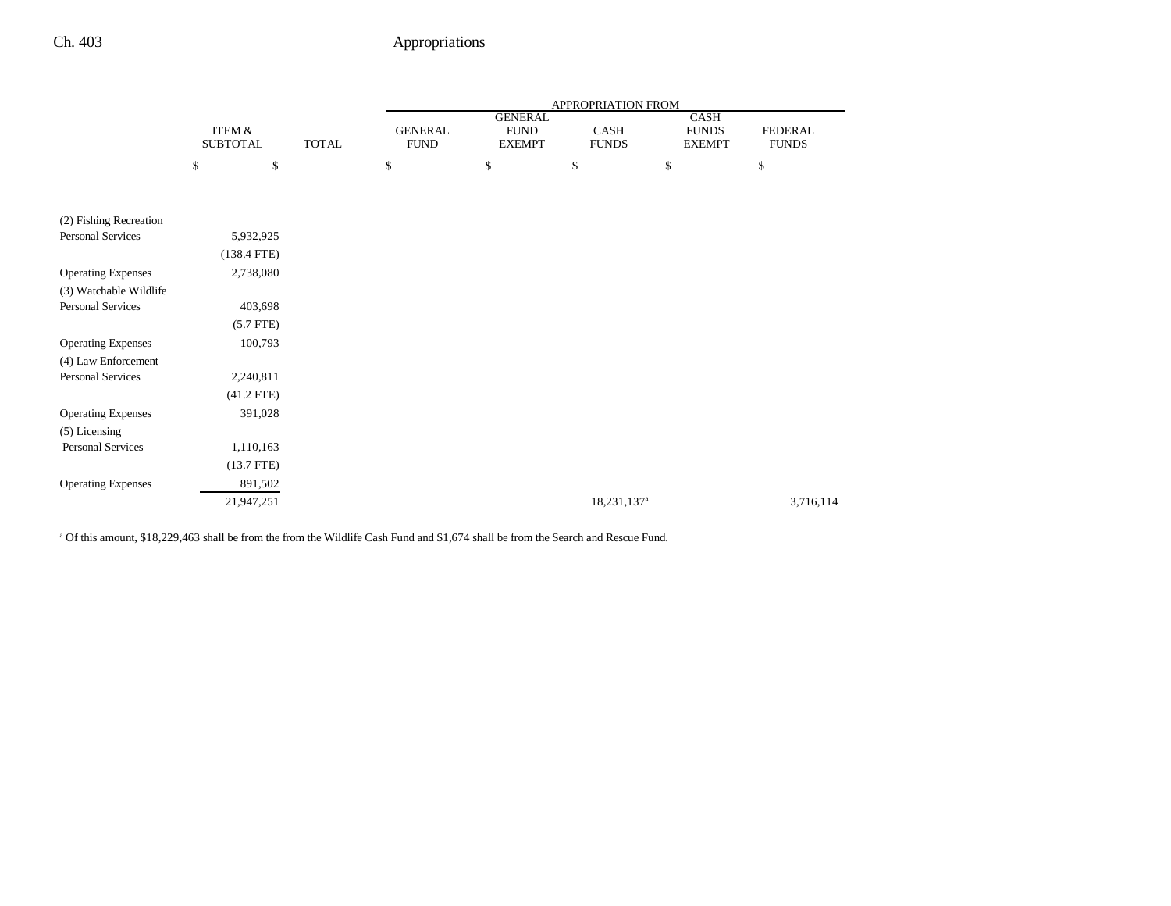|                           |                                      |              | APPROPRIATION FROM            |                                                |                         |                                       |                                |  |  |
|---------------------------|--------------------------------------|--------------|-------------------------------|------------------------------------------------|-------------------------|---------------------------------------|--------------------------------|--|--|
|                           | <b>ITEM &amp;</b><br><b>SUBTOTAL</b> | <b>TOTAL</b> | <b>GENERAL</b><br><b>FUND</b> | <b>GENERAL</b><br><b>FUND</b><br><b>EXEMPT</b> | CASH<br><b>FUNDS</b>    | CASH<br><b>FUNDS</b><br><b>EXEMPT</b> | <b>FEDERAL</b><br><b>FUNDS</b> |  |  |
|                           | \$<br>\$                             |              | \$                            | \$                                             | \$                      | \$<br>\$                              |                                |  |  |
|                           |                                      |              |                               |                                                |                         |                                       |                                |  |  |
| (2) Fishing Recreation    |                                      |              |                               |                                                |                         |                                       |                                |  |  |
| <b>Personal Services</b>  | 5,932,925                            |              |                               |                                                |                         |                                       |                                |  |  |
|                           | $(138.4$ FTE)                        |              |                               |                                                |                         |                                       |                                |  |  |
| <b>Operating Expenses</b> | 2,738,080                            |              |                               |                                                |                         |                                       |                                |  |  |
| (3) Watchable Wildlife    |                                      |              |                               |                                                |                         |                                       |                                |  |  |
| <b>Personal Services</b>  | 403,698                              |              |                               |                                                |                         |                                       |                                |  |  |
|                           | $(5.7$ FTE)                          |              |                               |                                                |                         |                                       |                                |  |  |
| <b>Operating Expenses</b> | 100,793                              |              |                               |                                                |                         |                                       |                                |  |  |
| (4) Law Enforcement       |                                      |              |                               |                                                |                         |                                       |                                |  |  |
| <b>Personal Services</b>  | 2,240,811                            |              |                               |                                                |                         |                                       |                                |  |  |
|                           | $(41.2$ FTE)                         |              |                               |                                                |                         |                                       |                                |  |  |
| <b>Operating Expenses</b> | 391,028                              |              |                               |                                                |                         |                                       |                                |  |  |
| (5) Licensing             |                                      |              |                               |                                                |                         |                                       |                                |  |  |
| <b>Personal Services</b>  | 1,110,163                            |              |                               |                                                |                         |                                       |                                |  |  |
|                           | $(13.7$ FTE)                         |              |                               |                                                |                         |                                       |                                |  |  |
| <b>Operating Expenses</b> | 891,502                              |              |                               |                                                |                         |                                       |                                |  |  |
|                           | 21,947,251                           |              |                               |                                                | 18,231,137 <sup>a</sup> |                                       | 3,716,114                      |  |  |

a Of this amount, \$18,229,463 shall be from the from the Wildlife Cash Fund and \$1,674 shall be from the Search and Rescue Fund.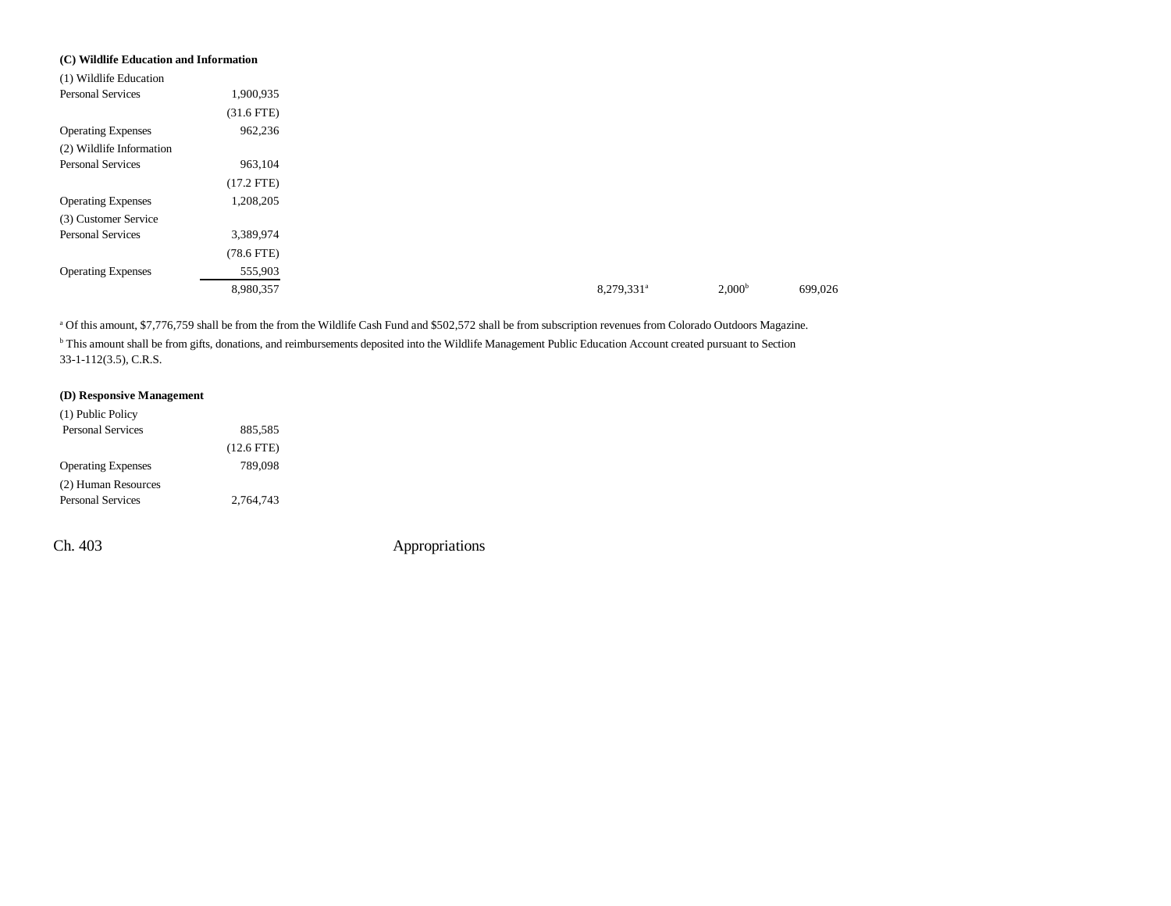| (C) Wildlife Education and Information |                 |
|----------------------------------------|-----------------|
| (1) Wildlife Education                 |                 |
| <b>Personal Services</b>               | 1,900,935       |
|                                        | $(31.6$ FTE)    |
| <b>Operating Expenses</b>              | 962,236         |
| (2) Wildlife Information               |                 |
| <b>Personal Services</b>               | 963,104         |
|                                        | $(17.2$ FTE)    |
| <b>Operating Expenses</b>              | 1,208,205       |
| (3) Customer Service                   |                 |
| <b>Personal Services</b>               | 3,389,974       |
|                                        | $(78.6$ FTE $)$ |
| <b>Operating Expenses</b>              | 555,903         |
|                                        | 8,980,357       |

<sup>a</sup> Of this amount, \$7,776,759 shall be from the from the Wildlife Cash Fund and \$502,572 shall be from subscription revenues from Colorado Outdoors Magazine. <sup>b</sup> This amount shall be from gifts, donations, and reimbursements deposited into the Wildlife Management Public Education Account created pursuant to Section 33-1-112(3.5), C.R.S.

## **(D) Responsive Management**

| (1) Public Policy         |              |  |
|---------------------------|--------------|--|
| <b>Personal Services</b>  | 885,585      |  |
|                           | $(12.6$ FTE) |  |
| <b>Operating Expenses</b> | 789,098      |  |
| (2) Human Resources       |              |  |
| <b>Personal Services</b>  | 2.764.743    |  |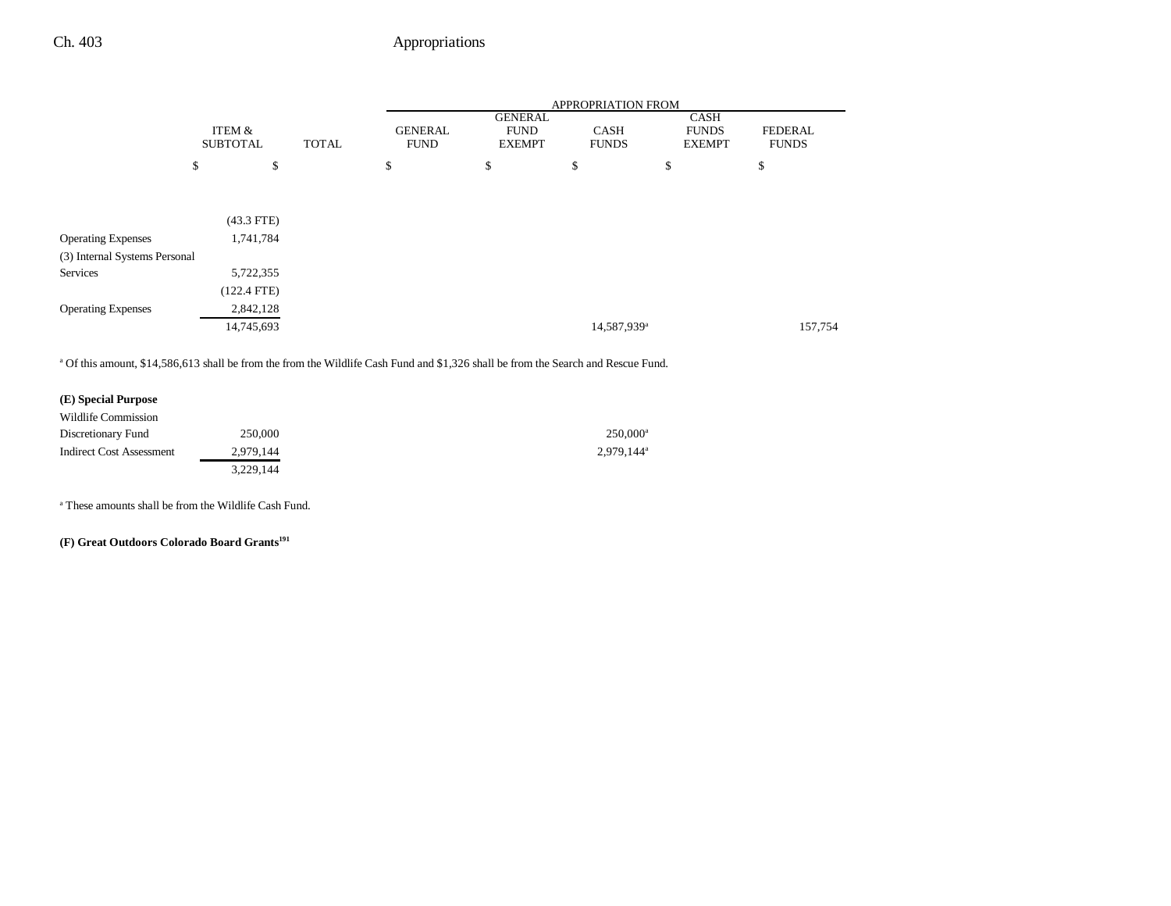|                               |                           |    |              | APPROPRIATION FROM            |                                                |                             |                                              |                                |
|-------------------------------|---------------------------|----|--------------|-------------------------------|------------------------------------------------|-----------------------------|----------------------------------------------|--------------------------------|
|                               | ITEM &<br><b>SUBTOTAL</b> |    | <b>TOTAL</b> | <b>GENERAL</b><br><b>FUND</b> | <b>GENERAL</b><br><b>FUND</b><br><b>EXEMPT</b> | <b>CASH</b><br><b>FUNDS</b> | <b>CASH</b><br><b>FUNDS</b><br><b>EXEMPT</b> | <b>FEDERAL</b><br><b>FUNDS</b> |
|                               | \$                        | \$ |              | \$                            | \$                                             | \$                          | \$                                           | \$                             |
|                               |                           |    |              |                               |                                                |                             |                                              |                                |
|                               |                           |    |              |                               |                                                |                             |                                              |                                |
|                               | $(43.3$ FTE)              |    |              |                               |                                                |                             |                                              |                                |
| <b>Operating Expenses</b>     | 1,741,784                 |    |              |                               |                                                |                             |                                              |                                |
| (3) Internal Systems Personal |                           |    |              |                               |                                                |                             |                                              |                                |
| Services                      | 5,722,355                 |    |              |                               |                                                |                             |                                              |                                |
|                               | $(122.4$ FTE)             |    |              |                               |                                                |                             |                                              |                                |
| <b>Operating Expenses</b>     | 2,842,128                 |    |              |                               |                                                |                             |                                              |                                |
|                               | 14,745,693                |    |              |                               |                                                | 14,587,939 <sup>a</sup>     |                                              | 157,754                        |

a Of this amount, \$14,586,613 shall be from the from the Wildlife Cash Fund and \$1,326 shall be from the Search and Rescue Fund.

## **(E) Special Purpose**

| Wildlife Commission      |           |               |
|--------------------------|-----------|---------------|
| Discretionary Fund       | 250,000   | $250,000^a$   |
| Indirect Cost Assessment | 2.979.144 | $2.979.144^a$ |
|                          | 3.229.144 |               |

a These amounts shall be from the Wildlife Cash Fund.

**(F) Great Outdoors Colorado Board Grants191**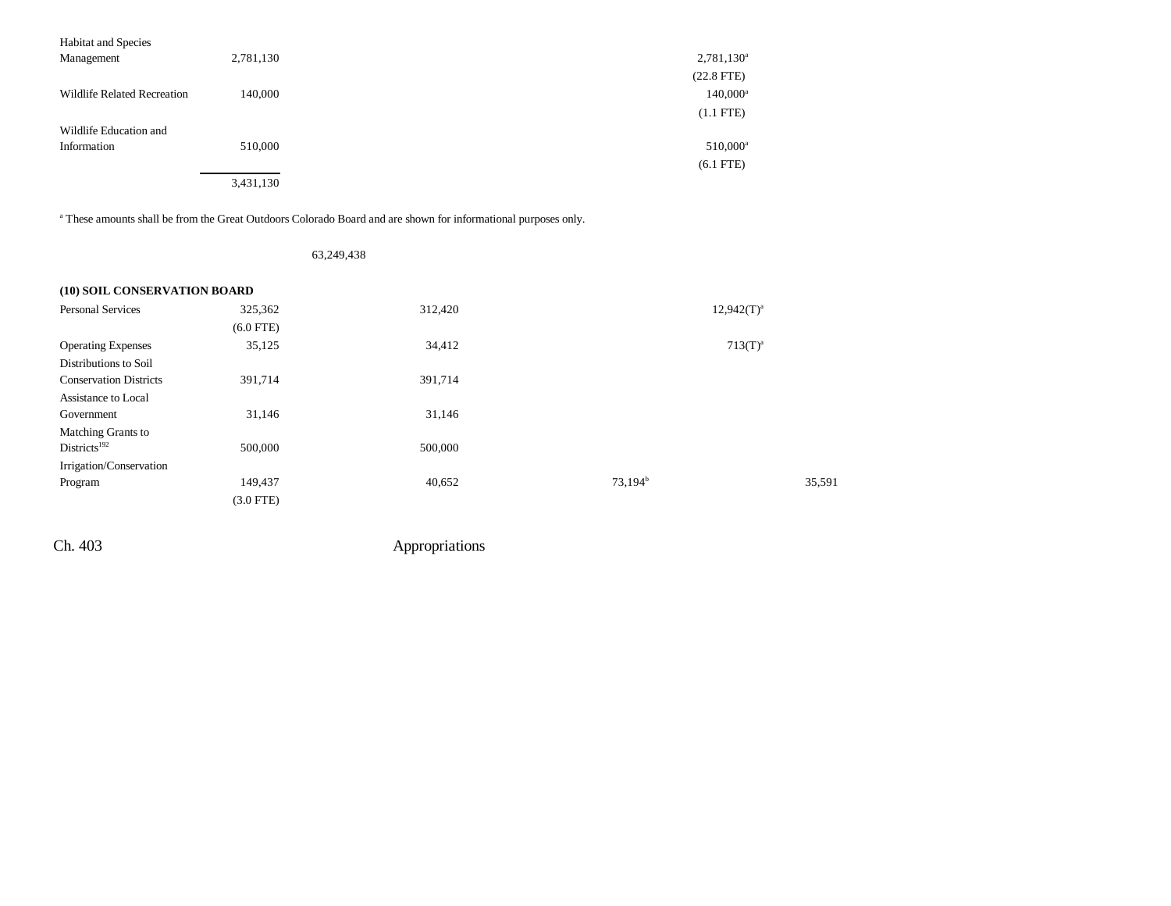| <b>Habitat and Species</b>         |           |                        |
|------------------------------------|-----------|------------------------|
| Management                         | 2,781,130 | 2,781,130 <sup>a</sup> |
|                                    |           | $(22.8$ FTE)           |
| <b>Wildlife Related Recreation</b> | 140,000   | $140,000^a$            |
|                                    |           | $(1.1$ FTE)            |
| Wildlife Education and             |           |                        |
| Information                        | 510,000   | 510,000 <sup>a</sup>   |
|                                    |           | $(6.1$ FTE)            |
|                                    | 3,431,130 |                        |

a These amounts shall be from the Great Outdoors Colorado Board and are shown for informational purposes only.

63,249,438

| (10) SOIL CONSERVATION BOARD  |             |         |                     |                 |
|-------------------------------|-------------|---------|---------------------|-----------------|
| <b>Personal Services</b>      | 325,362     | 312,420 |                     | $12,942(T)^{a}$ |
|                               | $(6.0$ FTE) |         |                     |                 |
| <b>Operating Expenses</b>     | 35,125      | 34,412  |                     | $713(T)^{a}$    |
| Distributions to Soil         |             |         |                     |                 |
| <b>Conservation Districts</b> | 391,714     | 391,714 |                     |                 |
| Assistance to Local           |             |         |                     |                 |
| Government                    | 31,146      | 31,146  |                     |                 |
| <b>Matching Grants to</b>     |             |         |                     |                 |
| Districts <sup>192</sup>      | 500,000     | 500,000 |                     |                 |
| Irrigation/Conservation       |             |         |                     |                 |
| Program                       | 149,437     | 40,652  | 73,194 <sup>b</sup> | 35,591          |
|                               | $(3.0$ FTE) |         |                     |                 |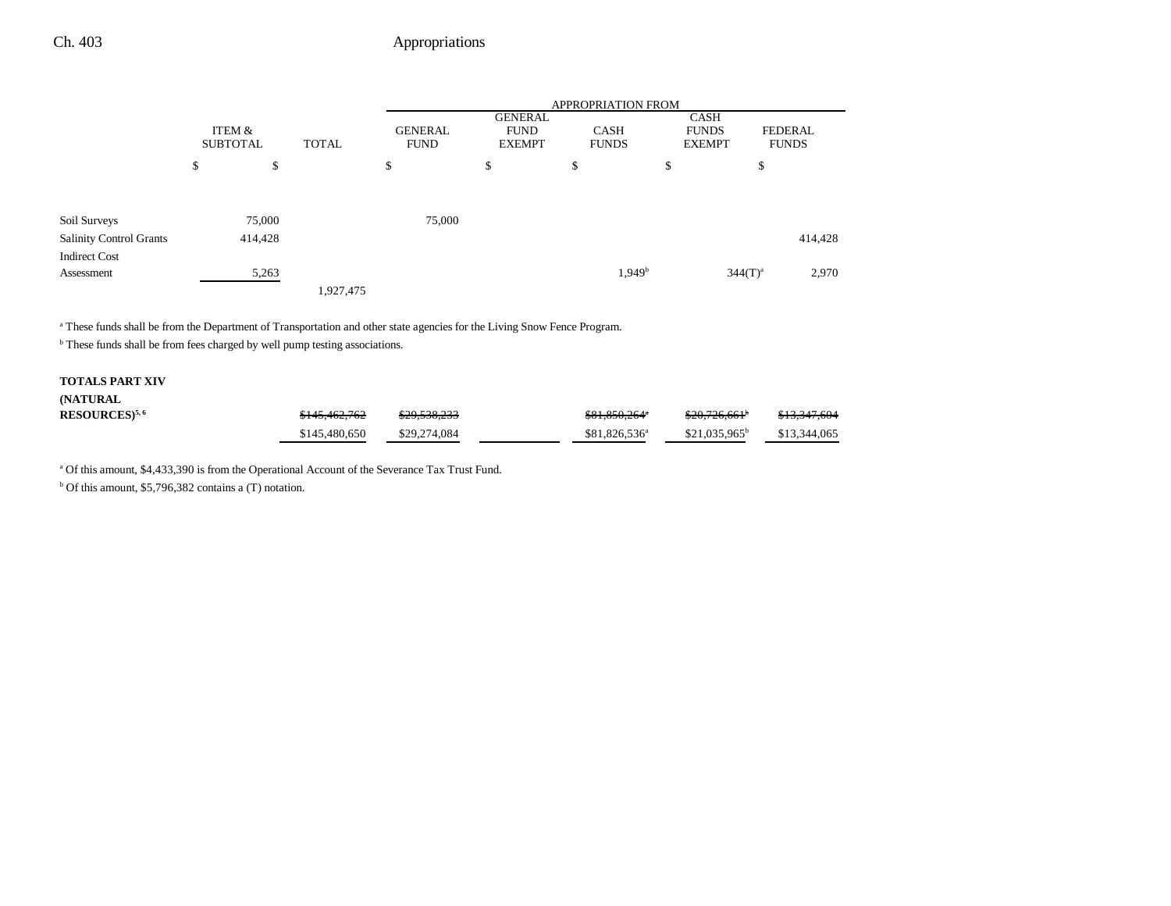|                         |                           |         |              | <b>APPROPRIATION FROM</b>     |                                                |                             |                                       |              |                |
|-------------------------|---------------------------|---------|--------------|-------------------------------|------------------------------------------------|-----------------------------|---------------------------------------|--------------|----------------|
|                         | ITEM &<br><b>SUBTOTAL</b> |         | <b>TOTAL</b> | <b>GENERAL</b><br><b>FUND</b> | <b>GENERAL</b><br><b>FUND</b><br><b>EXEMPT</b> | <b>CASH</b><br><b>FUNDS</b> | CASH<br><b>FUNDS</b><br><b>EXEMPT</b> | <b>FUNDS</b> | <b>FEDERAL</b> |
|                         | \$                        | \$      |              | \$                            | \$                                             | \$                          | \$                                    | \$           |                |
|                         |                           |         |              |                               |                                                |                             |                                       |              |                |
| Soil Surveys            |                           | 75,000  |              | 75,000                        |                                                |                             |                                       |              |                |
| Salinity Control Grants |                           | 414,428 |              |                               |                                                |                             |                                       |              | 414,428        |
| <b>Indirect Cost</b>    |                           |         |              |                               |                                                |                             |                                       |              |                |
| Assessment              |                           | 5,263   |              |                               |                                                | 1,949 <sup>b</sup>          |                                       | $344(T)^{a}$ | 2,970          |
|                         |                           |         | 1,927,475    |                               |                                                |                             |                                       |              |                |
|                         |                           |         |              |                               |                                                |                             |                                       |              |                |

a These funds shall be from the Department of Transportation and other state agencies for the Living Snow Fence Program.

 $^{\rm b}$  These funds shall be from fees charged by well pump testing associations.

### **TOTALS PART XIV**

| <b>(NATURAL)</b>             |               |              |                           |                         |                         |
|------------------------------|---------------|--------------|---------------------------|-------------------------|-------------------------|
| $RESOURCES)$ <sup>5, 6</sup> | \$145,462,762 | \$29,538,233 | \$81,850,264"             | <del>\$20,726,661</del> | <del>\$13,347,604</del> |
|                              | \$145,480,650 | \$29,274,084 | \$81,826,536 <sup>a</sup> | $$21.035.965^b$         | \$13,344,065            |

<sup>a</sup> Of this amount, \$4,433,390 is from the Operational Account of the Severance Tax Trust Fund.

 $b$  Of this amount, \$5,796,382 contains a (T) notation.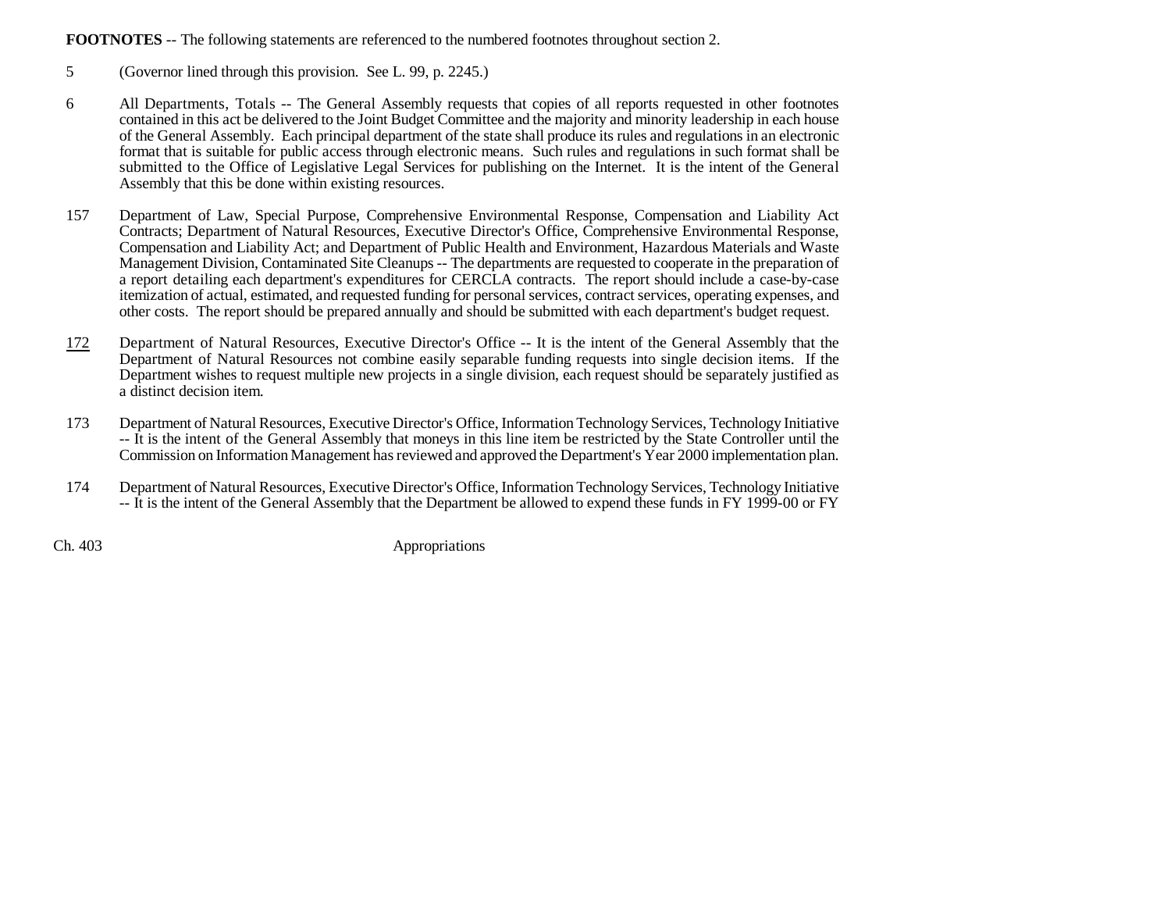**FOOTNOTES** -- The following statements are referenced to the numbered footnotes throughout section 2.

5 (Governor lined through this provision. See L. 99, p. 2245.)

- 6 All Departments, Totals -- The General Assembly requests that copies of all reports requested in other footnotes contained in this act be delivered to the Joint Budget Committee and the majority and minority leadership in each house of the General Assembly. Each principal department of the state shall produce its rules and regulations in an electronic format that is suitable for public access through electronic means. Such rules and regulations in such format shall be submitted to the Office of Legislative Legal Services for publishing on the Internet. It is the intent of the General Assembly that this be done within existing resources.
- 157 Department of Law, Special Purpose, Comprehensive Environmental Response, Compensation and Liability Act Contracts; Department of Natural Resources, Executive Director's Office, Comprehensive Environmental Response, Compensation and Liability Act; and Department of Public Health and Environment, Hazardous Materials and Waste Management Division, Contaminated Site Cleanups -- The departments are requested to cooperate in the preparation of a report detailing each department's expenditures for CERCLA contracts. The report should include a case-by-case itemization of actual, estimated, and requested funding for personal services, contract services, operating expenses, and other costs. The report should be prepared annually and should be submitted with each department's budget request.
- 172 Department of Natural Resources, Executive Director's Office -- It is the intent of the General Assembly that the Department of Natural Resources not combine easily separable funding requests into single decision items. If the Department wishes to request multiple new projects in a single division, each request should be separately justified as a distinct decision item.
- 173 Department of Natural Resources, Executive Director's Office, Information Technology Services, Technology Initiative -- It is the intent of the General Assembly that moneys in this line item be restricted by the State Controller until the Commission on Information Management has reviewed and approved the Department's Year 2000 implementation plan.
- 174 Department of Natural Resources, Executive Director's Office, Information Technology Services, Technology Initiative -- It is the intent of the General Assembly that the Department be allowed to expend these funds in FY 1999-00 or FY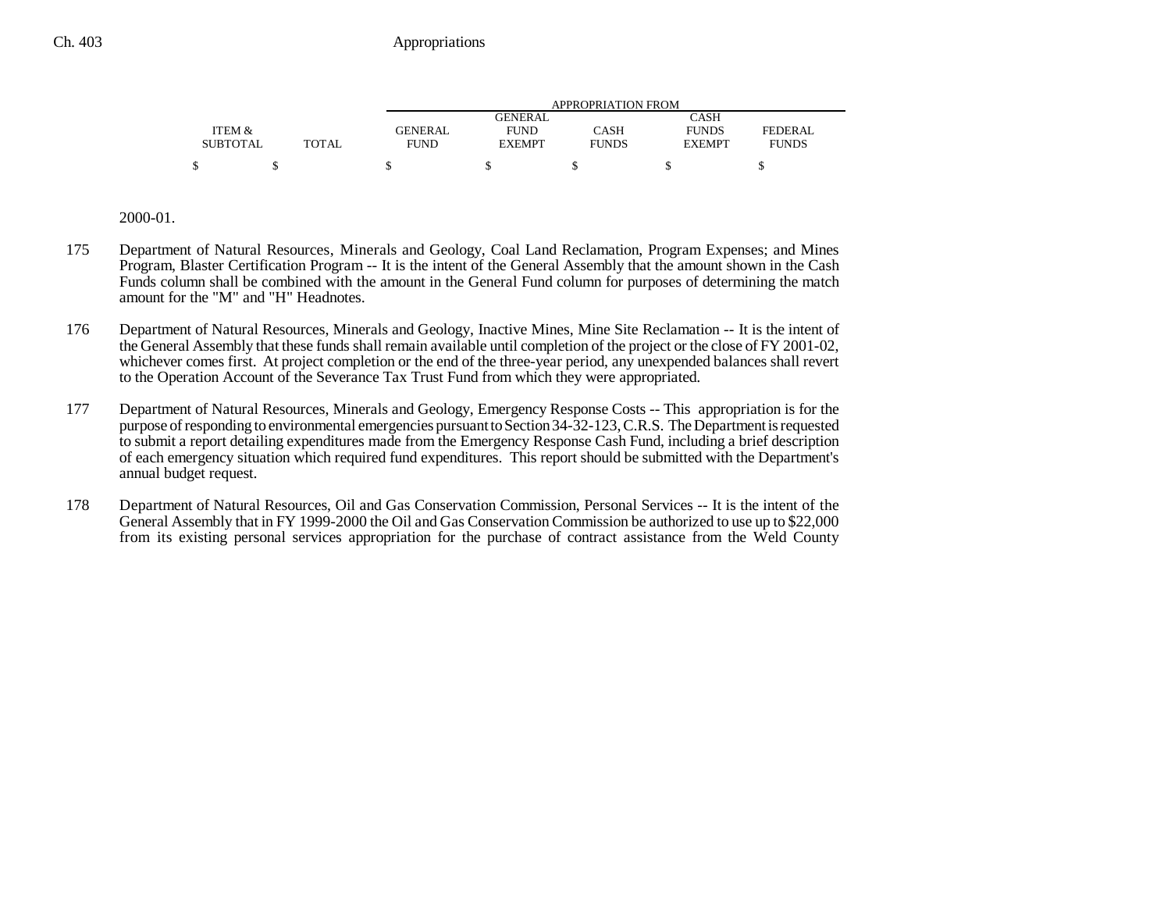|                 |       | APPROPRIATION FROM |               |              |               |              |  |  |
|-----------------|-------|--------------------|---------------|--------------|---------------|--------------|--|--|
|                 |       |                    | GENERAL       |              | CASH          |              |  |  |
| ITEM &          |       | GENERAL            | <b>FUND</b>   | CASH         | <b>FUNDS</b>  | FEDERAL      |  |  |
| <b>SUBTOTAL</b> | TOTAL | <b>FUND</b>        | <b>EXEMPT</b> | <b>FUNDS</b> | <b>EXEMPT</b> | <b>FUNDS</b> |  |  |
|                 |       |                    |               |              |               |              |  |  |

2000-01.

- 175 Department of Natural Resources, Minerals and Geology, Coal Land Reclamation, Program Expenses; and Mines Program, Blaster Certification Program -- It is the intent of the General Assembly that the amount shown in the Cash Funds column shall be combined with the amount in the General Fund column for purposes of determining the match amount for the "M" and "H" Headnotes.
- 176 Department of Natural Resources, Minerals and Geology, Inactive Mines, Mine Site Reclamation -- It is the intent of the General Assembly that these funds shall remain available until completion of the project or the close of FY 2001-02, whichever comes first. At project completion or the end of the three-year period, any unexpended balances shall revert to the Operation Account of the Severance Tax Trust Fund from which they were appropriated.
- 177 Department of Natural Resources, Minerals and Geology, Emergency Response Costs -- This appropriation is for the purpose of responding to environmental emergencies pursuant to Section 34-32-123, C.R.S. The Department is requested to submit a report detailing expenditures made from the Emergency Response Cash Fund, including a brief description of each emergency situation which required fund expenditures. This report should be submitted with the Department's annual budget request.
- 178 Department of Natural Resources, Oil and Gas Conservation Commission, Personal Services -- It is the intent of the General Assembly that in FY 1999-2000 the Oil and Gas Conservation Commission be authorized to use up to \$22,000 from its existing personal services appropriation for the purchase of contract assistance from the Weld County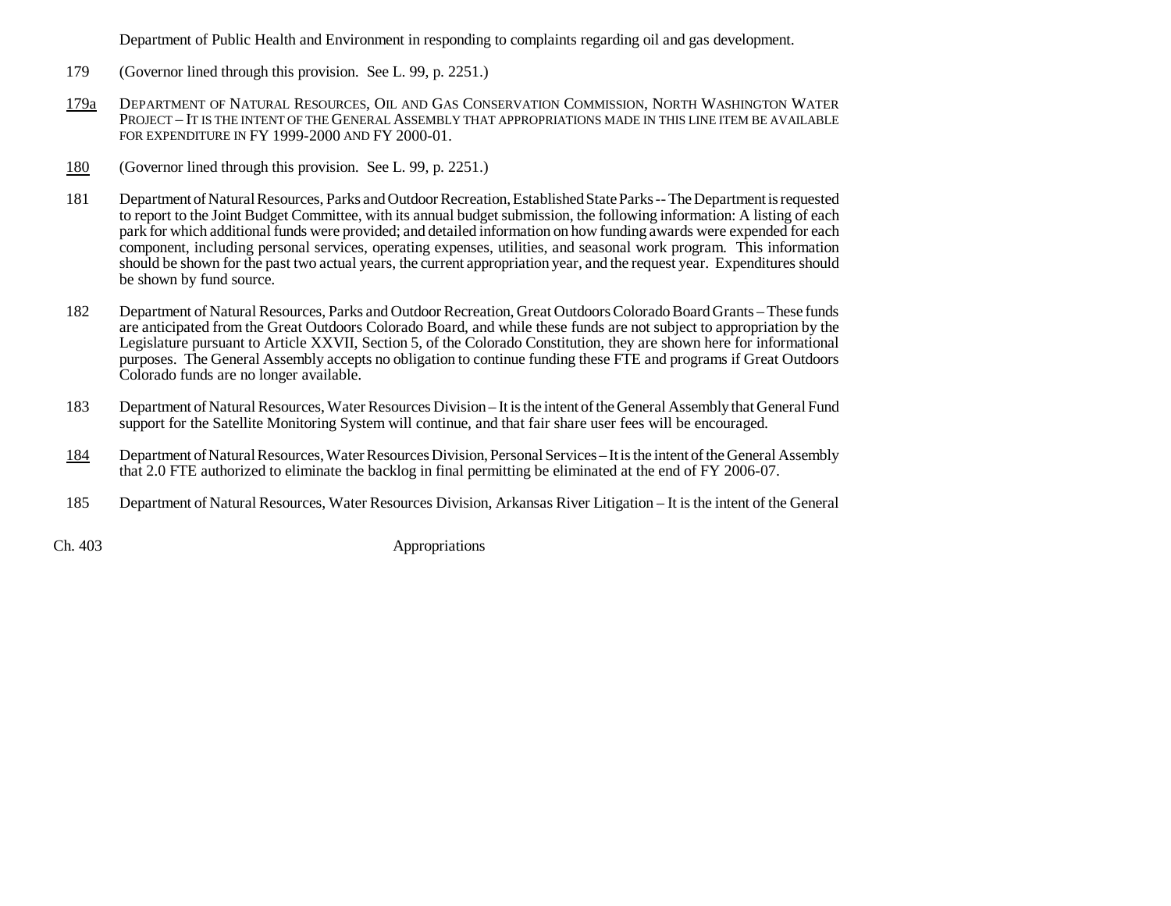Department of Public Health and Environment in responding to complaints regarding oil and gas development.

- 179 (Governor lined through this provision. See L. 99, p. 2251.)
- 179a DEPARTMENT OF NATURAL RESOURCES, OIL AND GAS CONSERVATION COMMISSION, NORTH WASHINGTON WATER Project – It is the intent of the General Assembly that appropriations made in this line item be available FOR EXPENDITURE IN FY 1999-2000 AND FY 2000-01.
- 180(Governor lined through this provision. See L. 99, p. 2251.)
- 181 Department of Natural Resources, Parks and Outdoor Recreation, Established State Parks -- The Department is requested to report to the Joint Budget Committee, with its annual budget submission, the following information: A listing of each park for which additional funds were provided; and detailed information on how funding awards were expended for each component, including personal services, operating expenses, utilities, and seasonal work program. This information should be shown for the past two actual years, the current appropriation year, and the request year. Expenditures should be shown by fund source.
- 182 Department of Natural Resources, Parks and Outdoor Recreation, Great Outdoors Colorado Board Grants These funds are anticipated from the Great Outdoors Colorado Board, and while these funds are not subject to appropriation by the Legislature pursuant to Article XXVII, Section 5, of the Colorado Constitution, they are shown here for informational purposes. The General Assembly accepts no obligation to continue funding these FTE and programs if Great Outdoors Colorado funds are no longer available.
- 183 Department of Natural Resources, Water Resources Division It is the intent of the General Assembly that General Fund support for the Satellite Monitoring System will continue, and that fair share user fees will be encouraged.
- 184 Department of Natural Resources, Water Resources Division, Personal Services – It is the intent of the General Assembly that 2.0 FTE authorized to eliminate the backlog in final permitting be eliminated at the end of FY 2006-07.
- 185 Department of Natural Resources, Water Resources Division, Arkansas River Litigation It is the intent of the General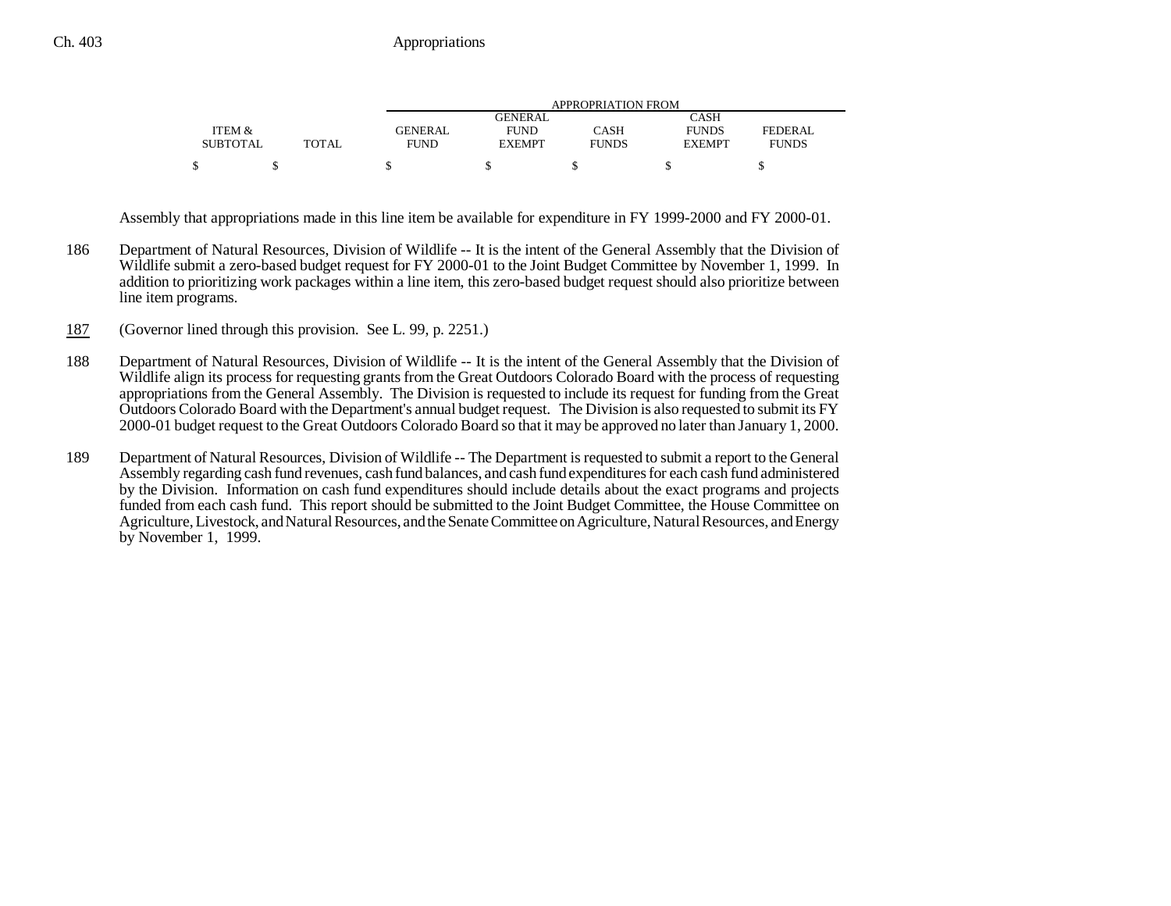|                 |              |             | APPROPRIATION FROM |              |               |              |  |  |  |
|-----------------|--------------|-------------|--------------------|--------------|---------------|--------------|--|--|--|
|                 |              |             | <b>GENERAL</b>     |              | CASH          |              |  |  |  |
| ITEM &          |              | GENERAL     | <b>FUND</b>        | CASH         | <b>FUNDS</b>  | FEDERAL      |  |  |  |
| <b>SUBTOTAL</b> | <b>TOTAL</b> | <b>FUND</b> | <b>EXEMPT</b>      | <b>FUNDS</b> | <b>EXEMPT</b> | <b>FUNDS</b> |  |  |  |
|                 |              |             |                    |              |               |              |  |  |  |

Assembly that appropriations made in this line item be available for expenditure in FY 1999-2000 and FY 2000-01.

- 186 Department of Natural Resources, Division of Wildlife -- It is the intent of the General Assembly that the Division of Wildlife submit a zero-based budget request for FY 2000-01 to the Joint Budget Committee by November 1, 1999. In addition to prioritizing work packages within a line item, this zero-based budget request should also prioritize between line item programs.
- 187(Governor lined through this provision. See L. 99, p. 2251.)
- 188 Department of Natural Resources, Division of Wildlife -- It is the intent of the General Assembly that the Division of Wildlife align its process for requesting grants from the Great Outdoors Colorado Board with the process of requesting appropriations from the General Assembly. The Division is requested to include its request for funding from the Great Outdoors Colorado Board with the Department's annual budget request. The Division is also requested to submit its FY 2000-01 budget request to the Great Outdoors Colorado Board so that it may be approved no later than January 1, 2000.
- 189 Department of Natural Resources, Division of Wildlife -- The Department is requested to submit a report to the General Assembly regarding cash fund revenues, cash fund balances, and cash fund expenditures for each cash fund administered by the Division. Information on cash fund expenditures should include details about the exact programs and projects funded from each cash fund. This report should be submitted to the Joint Budget Committee, the House Committee on Agriculture, Livestock, and Natural Resources, and the Senate Committee on Agriculture, Natural Resources, and Energy by November 1, 1999.